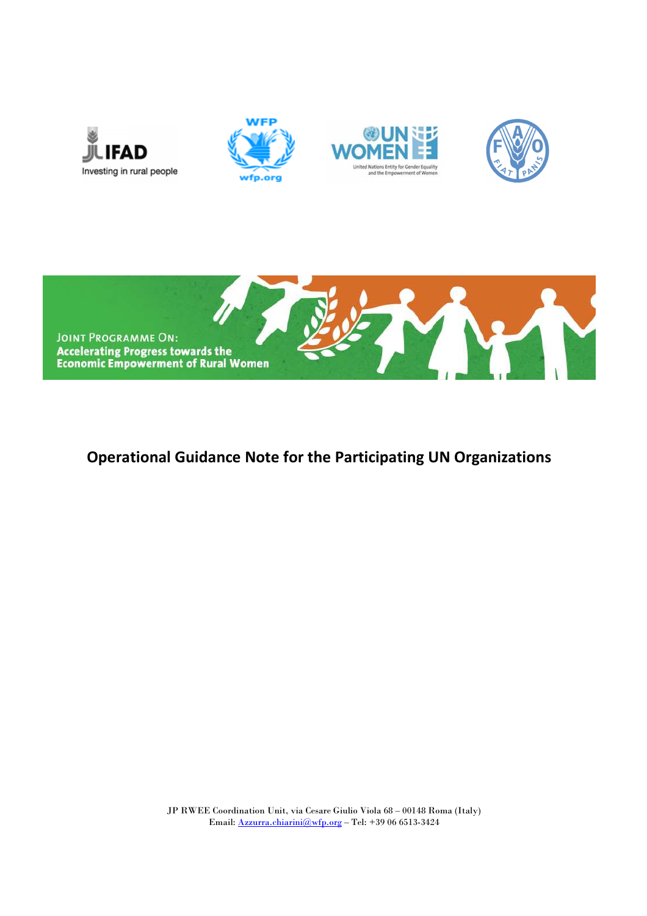





# **Operational Guidance Note for the Participating UN Organizations**

JP RWEE Coordination Unit, via Cesare Giulio Viola 68 – 00148 Roma (Italy) Email: Azzurra.chiarini@wfp.org – Tel: +39 06 6513-3424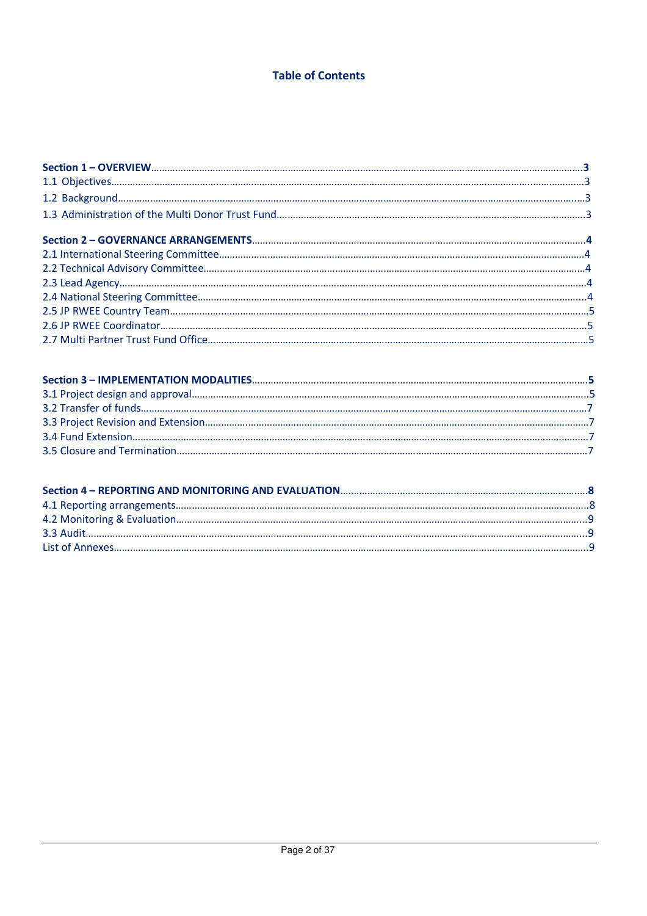# **Table of Contents**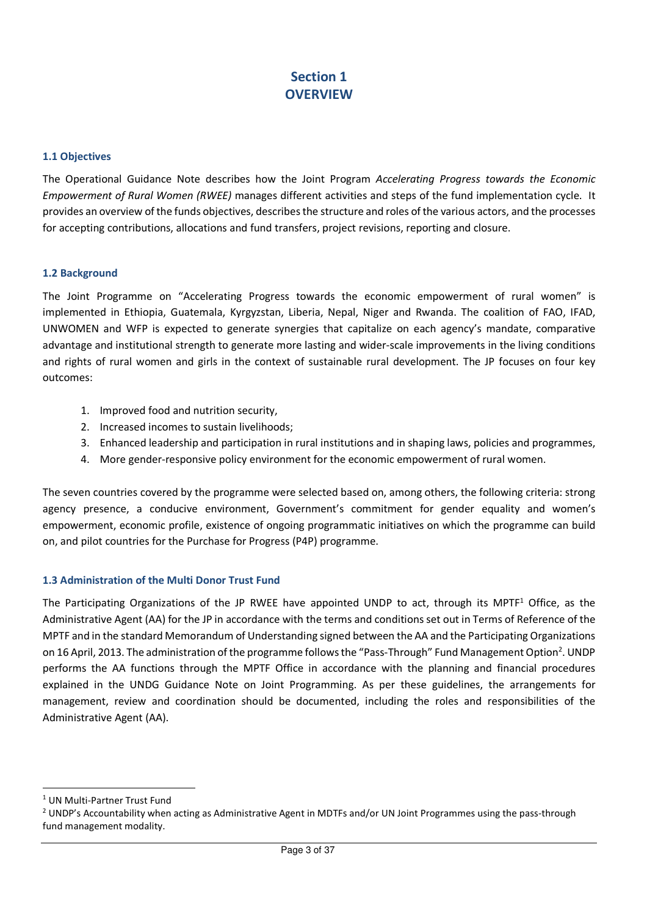# **Section 1 OVERVIEW**

#### **1.1 Objectives**

The Operational Guidance Note describes how the Joint Program *Accelerating Progress towards the Economic Empowerment of Rural Women (RWEE)* manages different activities and steps of the fund implementation cycle. It provides an overview of the funds objectives, describes the structure and roles of the various actors, and the processes for accepting contributions, allocations and fund transfers, project revisions, reporting and closure.

#### **1.2 Background**

The Joint Programme on "Accelerating Progress towards the economic empowerment of rural women" is implemented in Ethiopia, Guatemala, Kyrgyzstan, Liberia, Nepal, Niger and Rwanda. The coalition of FAO, IFAD, UNWOMEN and WFP is expected to generate synergies that capitalize on each agency's mandate, comparative advantage and institutional strength to generate more lasting and wider-scale improvements in the living conditions and rights of rural women and girls in the context of sustainable rural development. The JP focuses on four key outcomes:

- 1. Improved food and nutrition security,
- 2. Increased incomes to sustain livelihoods;
- 3. Enhanced leadership and participation in rural institutions and in shaping laws, policies and programmes,
- 4. More gender-responsive policy environment for the economic empowerment of rural women.

The seven countries covered by the programme were selected based on, among others, the following criteria: strong agency presence, a conducive environment, Government's commitment for gender equality and women's empowerment, economic profile, existence of ongoing programmatic initiatives on which the programme can build on, and pilot countries for the Purchase for Progress (P4P) programme.

#### **1.3 Administration of the Multi Donor Trust Fund**

The Participating Organizations of the JP RWEE have appointed UNDP to act, through its MPTF<sup>1</sup> Office, as the Administrative Agent (AA) for the JP in accordance with the terms and conditions set out in Terms of Reference of the MPTF and in the standard Memorandum of Understanding signed between the AA and the Participating Organizations on 16 April, 2013. The administration of the programme follows the "Pass-Through" Fund Management Option<sup>2</sup>. UNDP performs the AA functions through the MPTF Office in accordance with the planning and financial procedures explained in the UNDG Guidance Note on Joint Programming. As per these guidelines, the arrangements for management, review and coordination should be documented, including the roles and responsibilities of the Administrative Agent (AA).

.<br>-

<sup>&</sup>lt;sup>1</sup> UN Multi-Partner Trust Fund

<sup>&</sup>lt;sup>2</sup> UNDP's Accountability when acting as Administrative Agent in MDTFs and/or UN Joint Programmes using the pass-through fund management modality.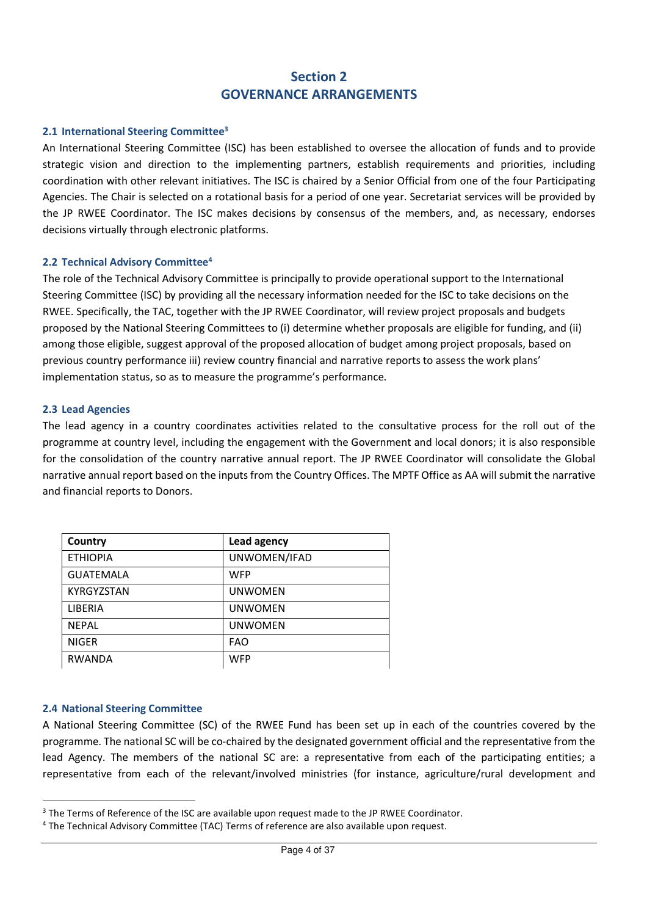# **Section 2 GOVERNANCE ARRANGEMENTS**

### **2.1 International Steering Committee<sup>3</sup>**

An International Steering Committee (ISC) has been established to oversee the allocation of funds and to provide strategic vision and direction to the implementing partners, establish requirements and priorities, including coordination with other relevant initiatives. The ISC is chaired by a Senior Official from one of the four Participating Agencies. The Chair is selected on a rotational basis for a period of one year. Secretariat services will be provided by the JP RWEE Coordinator. The ISC makes decisions by consensus of the members, and, as necessary, endorses decisions virtually through electronic platforms.

#### **2.2 Technical Advisory Committee<sup>4</sup>**

The role of the Technical Advisory Committee is principally to provide operational support to the International Steering Committee (ISC) by providing all the necessary information needed for the ISC to take decisions on the RWEE. Specifically, the TAC, together with the JP RWEE Coordinator, will review project proposals and budgets proposed by the National Steering Committees to (i) determine whether proposals are eligible for funding, and (ii) among those eligible, suggest approval of the proposed allocation of budget among project proposals, based on previous country performance iii) review country financial and narrative reports to assess the work plans' implementation status, so as to measure the programme's performance.

#### **2.3 Lead Agencies**

The lead agency in a country coordinates activities related to the consultative process for the roll out of the programme at country level, including the engagement with the Government and local donors; it is also responsible for the consolidation of the country narrative annual report. The JP RWEE Coordinator will consolidate the Global narrative annual report based on the inputs from the Country Offices. The MPTF Office as AA will submit the narrative and financial reports to Donors.

| Country           | Lead agency    |
|-------------------|----------------|
| <b>ETHIOPIA</b>   | UNWOMEN/IFAD   |
| <b>GUATEMALA</b>  | <b>WFP</b>     |
| <b>KYRGYZSTAN</b> | <b>UNWOMEN</b> |
| LIBERIA           | <b>UNWOMEN</b> |
| <b>NFPAL</b>      | <b>UNWOMEN</b> |
| <b>NIGER</b>      | <b>FAO</b>     |
| <b>RWANDA</b>     | <b>WFP</b>     |

## **2.4 National Steering Committee**

<u>.</u>

A National Steering Committee (SC) of the RWEE Fund has been set up in each of the countries covered by the programme. The national SC will be co-chaired by the designated government official and the representative from the lead Agency. The members of the national SC are: a representative from each of the participating entities; a representative from each of the relevant/involved ministries (for instance, agriculture/rural development and

<sup>&</sup>lt;sup>3</sup> The Terms of Reference of the ISC are available upon request made to the JP RWEE Coordinator.

<sup>&</sup>lt;sup>4</sup> The Technical Advisory Committee (TAC) Terms of reference are also available upon request.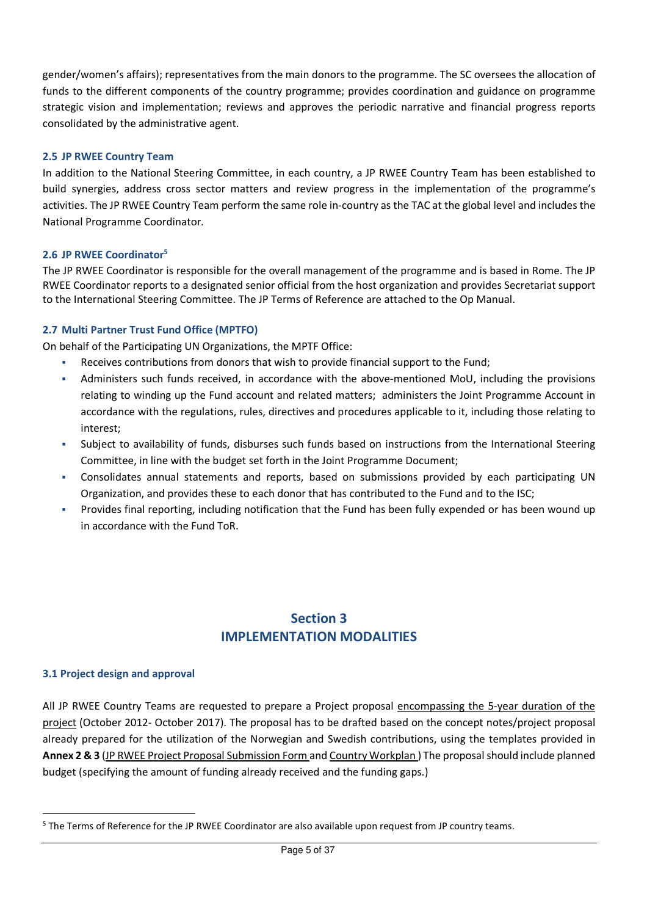gender/women's affairs); representatives from the main donors to the programme. The SC oversees the allocation of funds to the different components of the country programme; provides coordination and guidance on programme strategic vision and implementation; reviews and approves the periodic narrative and financial progress reports consolidated by the administrative agent.

## **2.5 JP RWEE Country Team**

In addition to the National Steering Committee, in each country, a JP RWEE Country Team has been established to build synergies, address cross sector matters and review progress in the implementation of the programme's activities. The JP RWEE Country Team perform the same role in-country as the TAC at the global level and includes the National Programme Coordinator.

## **2.6 JP RWEE Coordinator<sup>5</sup>**

The JP RWEE Coordinator is responsible for the overall management of the programme and is based in Rome. The JP RWEE Coordinator reports to a designated senior official from the host organization and provides Secretariat support to the International Steering Committee. The JP Terms of Reference are attached to the Op Manual.

# **2.7 Multi Partner Trust Fund Office (MPTFO)**

On behalf of the Participating UN Organizations, the MPTF Office:

- Receives contributions from donors that wish to provide financial support to the Fund;
- Administers such funds received, in accordance with the above-mentioned MoU, including the provisions relating to winding up the Fund account and related matters; administers the Joint Programme Account in accordance with the regulations, rules, directives and procedures applicable to it, including those relating to interest;
- Subject to availability of funds, disburses such funds based on instructions from the International Steering Committee, in line with the budget set forth in the Joint Programme Document;
- Consolidates annual statements and reports, based on submissions provided by each participating UN Organization, and provides these to each donor that has contributed to the Fund and to the ISC;
- Provides final reporting, including notification that the Fund has been fully expended or has been wound up in accordance with the Fund ToR.

# **Section 3 IMPLEMENTATION MODALITIES**

## **3.1 Project design and approval**

<u>.</u>

All JP RWEE Country Teams are requested to prepare a Project proposal encompassing the 5-year duration of the project (October 2012- October 2017). The proposal has to be drafted based on the concept notes/project proposal already prepared for the utilization of the Norwegian and Swedish contributions, using the templates provided in **Annex 2 & 3** (JP RWEE Project Proposal Submission Form and Country Workplan ) The proposal should include planned budget (specifying the amount of funding already received and the funding gaps.)

<sup>&</sup>lt;sup>5</sup> The Terms of Reference for the JP RWEE Coordinator are also available upon request from JP country teams.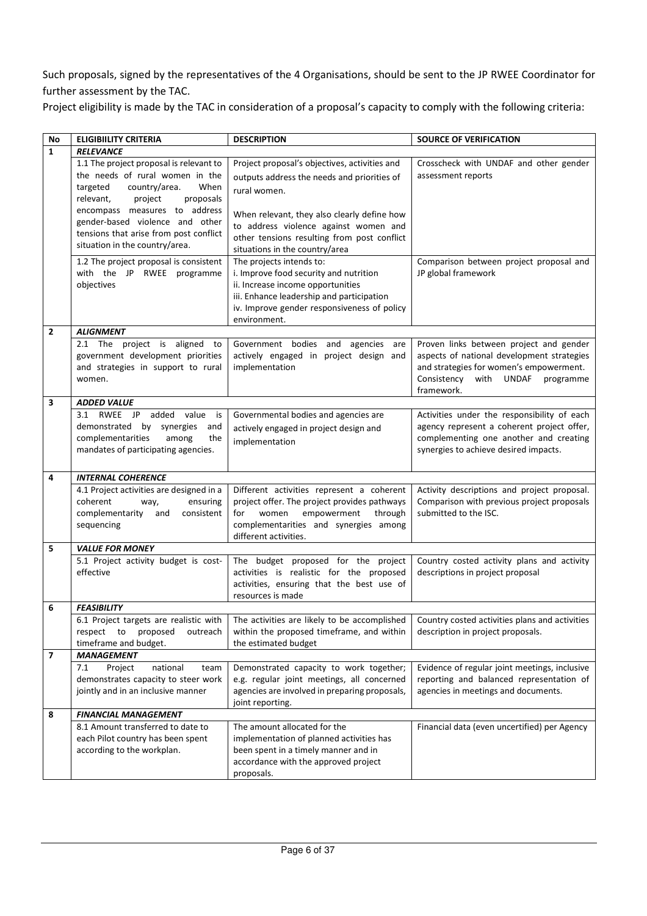Such proposals, signed by the representatives of the 4 Organisations, should be sent to the JP RWEE Coordinator for further assessment by the TAC.

Project eligibility is made by the TAC in consideration of a proposal's capacity to comply with the following criteria:

| No             | <b>ELIGIBIILITY CRITERIA</b>                                                                                                                           | <b>DESCRIPTION</b>                                                                                                                                                                                                  | <b>SOURCE OF VERIFICATION</b>                                                                                                                                                            |
|----------------|--------------------------------------------------------------------------------------------------------------------------------------------------------|---------------------------------------------------------------------------------------------------------------------------------------------------------------------------------------------------------------------|------------------------------------------------------------------------------------------------------------------------------------------------------------------------------------------|
| $\mathbf{1}$   | <b>RELEVANCE</b>                                                                                                                                       |                                                                                                                                                                                                                     |                                                                                                                                                                                          |
|                | 1.1 The project proposal is relevant to<br>the needs of rural women in the<br>targeted<br>country/area.<br>When<br>relevant,<br>proposals<br>project   | Project proposal's objectives, activities and<br>outputs address the needs and priorities of<br>rural women.                                                                                                        | Crosscheck with UNDAF and other gender<br>assessment reports                                                                                                                             |
|                | encompass measures to address<br>gender-based violence and other<br>tensions that arise from post conflict<br>situation in the country/area.           | When relevant, they also clearly define how<br>to address violence against women and<br>other tensions resulting from post conflict<br>situations in the country/area                                               |                                                                                                                                                                                          |
|                | 1.2 The project proposal is consistent<br>with the JP RWEE programme<br>objectives                                                                     | The projects intends to:<br>i. Improve food security and nutrition<br>ii. Increase income opportunities<br>iii. Enhance leadership and participation<br>iv. Improve gender responsiveness of policy<br>environment. | Comparison between project proposal and<br>JP global framework                                                                                                                           |
| $\overline{2}$ | <b>ALIGNMENT</b>                                                                                                                                       |                                                                                                                                                                                                                     |                                                                                                                                                                                          |
|                | 2.1 The project is aligned to<br>government development priorities<br>and strategies in support to rural<br>women.                                     | Government bodies and agencies are<br>actively engaged in project design and<br>implementation                                                                                                                      | Proven links between project and gender<br>aspects of national development strategies<br>and strategies for women's empowerment.<br>Consistency<br>with UNDAF<br>programme<br>framework. |
| 3              | <b>ADDED VALUE</b>                                                                                                                                     |                                                                                                                                                                                                                     |                                                                                                                                                                                          |
|                | RWEE JP<br>added<br>value<br>3.1<br>is<br>demonstrated by synergies<br>and<br>complementarities<br>among<br>the<br>mandates of participating agencies. | Governmental bodies and agencies are<br>actively engaged in project design and<br>implementation                                                                                                                    | Activities under the responsibility of each<br>agency represent a coherent project offer,<br>complementing one another and creating<br>synergies to achieve desired impacts.             |
| 4              | <b>INTERNAL COHERENCE</b>                                                                                                                              |                                                                                                                                                                                                                     |                                                                                                                                                                                          |
|                | 4.1 Project activities are designed in a<br>coherent<br>ensuring<br>way,<br>complementarity<br>consistent<br>and<br>sequencing                         | Different activities represent a coherent<br>project offer. The project provides pathways<br>for<br>women<br>empowerment<br>through<br>complementarities and synergies among<br>different activities.               | Activity descriptions and project proposal.<br>Comparison with previous project proposals<br>submitted to the ISC.                                                                       |
| 5              | <b>VALUE FOR MONEY</b>                                                                                                                                 |                                                                                                                                                                                                                     |                                                                                                                                                                                          |
|                | 5.1 Project activity budget is cost-<br>effective                                                                                                      | The budget proposed for the project<br>activities is realistic for the proposed<br>activities, ensuring that the best use of<br>resources is made                                                                   | Country costed activity plans and activity<br>descriptions in project proposal                                                                                                           |
| 6              | <b>FEASIBILITY</b>                                                                                                                                     |                                                                                                                                                                                                                     |                                                                                                                                                                                          |
|                | 6.1 Project targets are realistic with<br>proposed<br>respect to<br>outreach<br>timeframe and budget.                                                  | The activities are likely to be accomplished<br>within the proposed timeframe, and within<br>the estimated budget                                                                                                   | Country costed activities plans and activities<br>description in project proposals.                                                                                                      |
| 7              | <b>MANAGEMENT</b>                                                                                                                                      |                                                                                                                                                                                                                     |                                                                                                                                                                                          |
|                | 7.1<br>national<br>Project<br>team<br>demonstrates capacity to steer work<br>jointly and in an inclusive manner                                        | Demonstrated capacity to work together;<br>e.g. regular joint meetings, all concerned<br>agencies are involved in preparing proposals,<br>joint reporting.                                                          | Evidence of regular joint meetings, inclusive<br>reporting and balanced representation of<br>agencies in meetings and documents.                                                         |
| 8              | <b>FINANCIAL MANAGEMENT</b>                                                                                                                            |                                                                                                                                                                                                                     |                                                                                                                                                                                          |
|                | 8.1 Amount transferred to date to<br>each Pilot country has been spent<br>according to the workplan.                                                   | The amount allocated for the<br>implementation of planned activities has<br>been spent in a timely manner and in<br>accordance with the approved project<br>proposals.                                              | Financial data (even uncertified) per Agency                                                                                                                                             |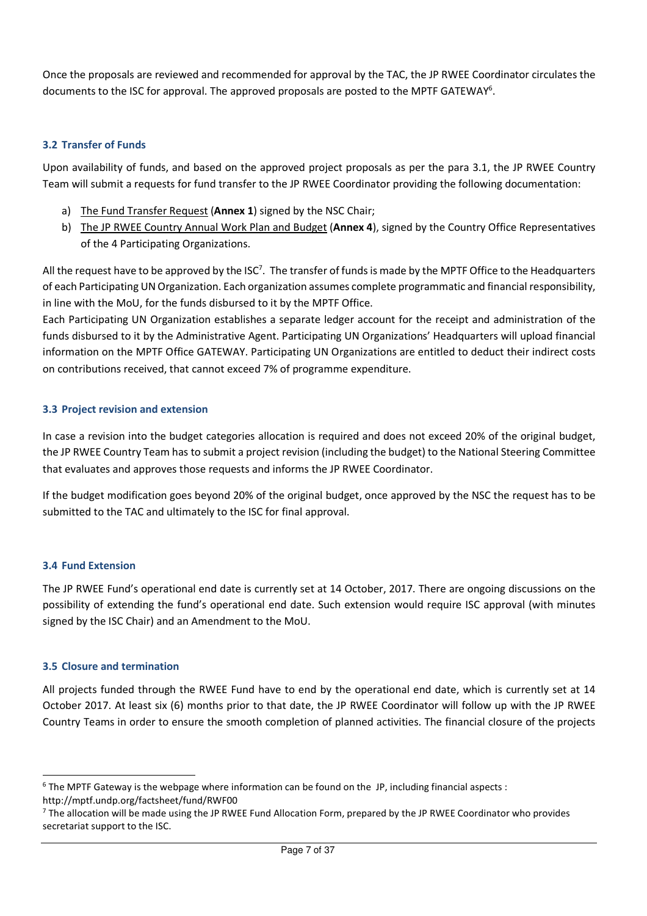Once the proposals are reviewed and recommended for approval by the TAC, the JP RWEE Coordinator circulates the documents to the ISC for approval. The approved proposals are posted to the MPTF GATEWAY<sup>6</sup>.

# **3.2 Transfer of Funds**

Upon availability of funds, and based on the approved project proposals as per the para 3.1, the JP RWEE Country Team will submit a requests for fund transfer to the JP RWEE Coordinator providing the following documentation:

- a) The Fund Transfer Request (**Annex 1**) signed by the NSC Chair;
- b) The JP RWEE Country Annual Work Plan and Budget (**Annex 4**), signed by the Country Office Representatives of the 4 Participating Organizations.

All the request have to be approved by the ISC<sup>7</sup>. The transfer of funds is made by the MPTF Office to the Headquarters of each Participating UN Organization. Each organization assumes complete programmatic and financial responsibility, in line with the MoU, for the funds disbursed to it by the MPTF Office.

Each Participating UN Organization establishes a separate ledger account for the receipt and administration of the funds disbursed to it by the Administrative Agent. Participating UN Organizations' Headquarters will upload financial information on the MPTF Office GATEWAY. Participating UN Organizations are entitled to deduct their indirect costs on contributions received, that cannot exceed 7% of programme expenditure.

## **3.3 Project revision and extension**

In case a revision into the budget categories allocation is required and does not exceed 20% of the original budget, the JP RWEE Country Team has to submit a project revision (including the budget) to the National Steering Committee that evaluates and approves those requests and informs the JP RWEE Coordinator.

If the budget modification goes beyond 20% of the original budget, once approved by the NSC the request has to be submitted to the TAC and ultimately to the ISC for final approval.

## **3.4 Fund Extension**

<u>.</u>

The JP RWEE Fund's operational end date is currently set at 14 October, 2017. There are ongoing discussions on the possibility of extending the fund's operational end date. Such extension would require ISC approval (with minutes signed by the ISC Chair) and an Amendment to the MoU.

## **3.5 Closure and termination**

All projects funded through the RWEE Fund have to end by the operational end date, which is currently set at 14 October 2017. At least six (6) months prior to that date, the JP RWEE Coordinator will follow up with the JP RWEE Country Teams in order to ensure the smooth completion of planned activities. The financial closure of the projects

<sup>&</sup>lt;sup>6</sup> The MPTF Gateway is the webpage where information can be found on the JP, including financial aspects : http://mptf.undp.org/factsheet/fund/RWF00

<sup>&</sup>lt;sup>7</sup> The allocation will be made using the JP RWEE Fund Allocation Form, prepared by the JP RWEE Coordinator who provides secretariat support to the ISC.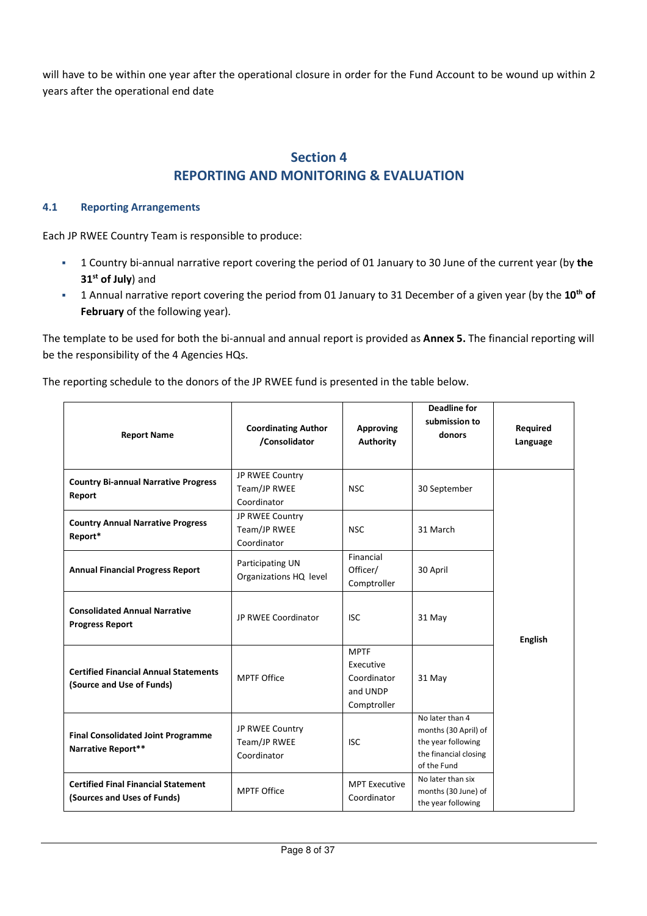will have to be within one year after the operational closure in order for the Fund Account to be wound up within 2 years after the operational end date

# **Section 4 REPORTING AND MONITORING & EVALUATION**

### **4.1 Reporting Arrangements**

Each JP RWEE Country Team is responsible to produce:

- 1 Country bi-annual narrative report covering the period of 01 January to 30 June of the current year (by **the 31st of July**) and
- 1 Annual narrative report covering the period from 01 January to 31 December of a given year (by the **10th of February** of the following year).

The template to be used for both the bi-annual and annual report is provided as **Annex 5.** The financial reporting will be the responsibility of the 4 Agencies HQs.

The reporting schedule to the donors of the JP RWEE fund is presented in the table below.

| <b>Report Name</b>                                                        | <b>Coordinating Author</b><br>/Consolidator    | <b>Approving</b><br><b>Authority</b>                               | <b>Deadline for</b><br>submission to<br>donors                                                        | <b>Required</b><br>Language |
|---------------------------------------------------------------------------|------------------------------------------------|--------------------------------------------------------------------|-------------------------------------------------------------------------------------------------------|-----------------------------|
| <b>Country Bi-annual Narrative Progress</b><br>Report                     | JP RWEE Country<br>Team/JP RWEE<br>Coordinator | <b>NSC</b>                                                         | 30 September                                                                                          |                             |
| <b>Country Annual Narrative Progress</b><br>Report*                       | JP RWEE Country<br>Team/JP RWEE<br>Coordinator | <b>NSC</b>                                                         | 31 March                                                                                              |                             |
| <b>Annual Financial Progress Report</b>                                   | Participating UN<br>Organizations HQ level     | Financial<br>Officer/<br>Comptroller                               | 30 April                                                                                              |                             |
| <b>Consolidated Annual Narrative</b><br><b>Progress Report</b>            | JP RWEE Coordinator                            | <b>ISC</b>                                                         | 31 May                                                                                                | <b>English</b>              |
| <b>Certified Financial Annual Statements</b><br>(Source and Use of Funds) | <b>MPTF Office</b>                             | <b>MPTF</b><br>Executive<br>Coordinator<br>and UNDP<br>Comptroller | 31 May                                                                                                |                             |
| <b>Final Consolidated Joint Programme</b><br>Narrative Report**           | JP RWEE Country<br>Team/JP RWEE<br>Coordinator | <b>ISC</b>                                                         | No later than 4<br>months (30 April) of<br>the year following<br>the financial closing<br>of the Fund |                             |
| <b>Certified Final Financial Statement</b><br>(Sources and Uses of Funds) | <b>MPTF Office</b>                             | <b>MPT Executive</b><br>Coordinator                                | No later than six<br>months (30 June) of<br>the year following                                        |                             |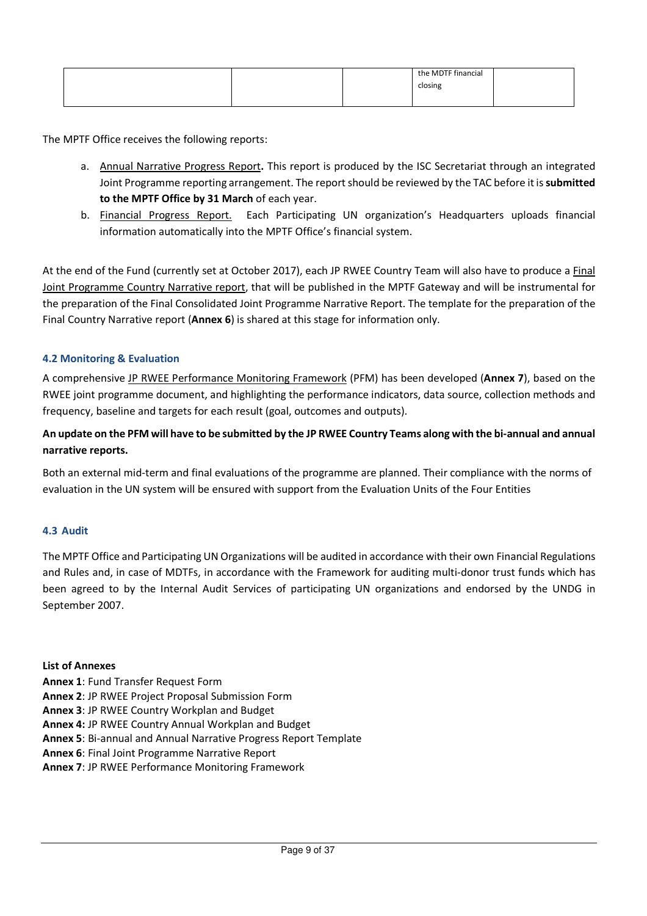|  | the MDTF financial |  |
|--|--------------------|--|
|  | closing            |  |
|  |                    |  |

The MPTF Office receives the following reports:

- a. Annual Narrative Progress Report**.** This report is produced by the ISC Secretariat through an integrated Joint Programme reporting arrangement. The report should be reviewed by the TAC before it is **submitted to the MPTF Office by 31 March** of each year.
- b. Financial Progress Report. Each Participating UN organization's Headquarters uploads financial information automatically into the MPTF Office's financial system.

At the end of the Fund (currently set at October 2017), each JP RWEE Country Team will also have to produce a Final Joint Programme Country Narrative report, that will be published in the MPTF Gateway and will be instrumental for the preparation of the Final Consolidated Joint Programme Narrative Report. The template for the preparation of the Final Country Narrative report (**Annex 6**) is shared at this stage for information only.

# **4.2 Monitoring & Evaluation**

A comprehensive JP RWEE Performance Monitoring Framework (PFM) has been developed (**Annex 7**), based on the RWEE joint programme document, and highlighting the performance indicators, data source, collection methods and frequency, baseline and targets for each result (goal, outcomes and outputs).

# **An update on the PFM will have to be submitted by the JP RWEE Country Teams along with the bi-annual and annual narrative reports.**

Both an external mid-term and final evaluations of the programme are planned. Their compliance with the norms of evaluation in the UN system will be ensured with support from the Evaluation Units of the Four Entities

## **4.3 Audit**

The MPTF Office and Participating UN Organizations will be audited in accordance with their own Financial Regulations and Rules and, in case of MDTFs, in accordance with the Framework for auditing multi-donor trust funds which has been agreed to by the Internal Audit Services of participating UN organizations and endorsed by the UNDG in September 2007.

#### **List of Annexes**

- **Annex 1**: Fund Transfer Request Form
- **Annex 2**: JP RWEE Project Proposal Submission Form
- **Annex 3**: JP RWEE Country Workplan and Budget
- **Annex 4:** JP RWEE Country Annual Workplan and Budget
- **Annex 5**: Bi-annual and Annual Narrative Progress Report Template
- **Annex 6**: Final Joint Programme Narrative Report
- **Annex 7**: JP RWEE Performance Monitoring Framework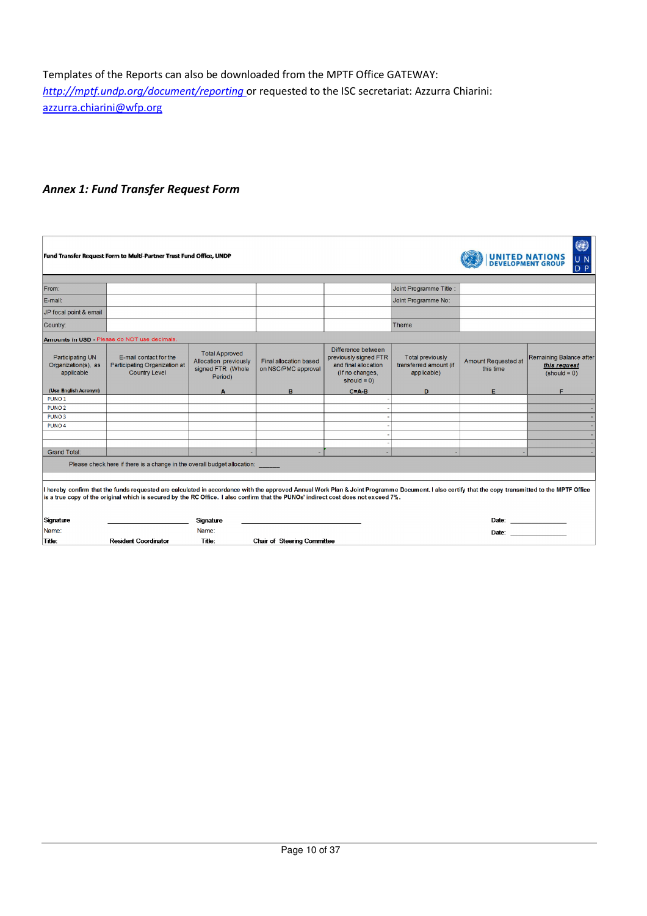Templates of the Reports can also be downloaded from the MPTF Office GATEWAY: *http://mptf.undp.org/document/reporting* or requested to the ISC secretariat: Azzurra Chiarini: azzurra.chiarini@wfp.org

# *Annex 1: Fund Transfer Request Form*

| Fund Transfer Request Form to Multi-Partner Trust Fund Office, UNDP<br><b>UNITED NATIONS</b><br><b>DEVELOPMENT GROUP</b><br>U N<br>D.<br>P                                                                                                                                                                                              |                                                                                                 |                                                                                |                                               |                                                                                                          |                                                                  |                                  |                                                                                                                                                                                                                               |
|-----------------------------------------------------------------------------------------------------------------------------------------------------------------------------------------------------------------------------------------------------------------------------------------------------------------------------------------|-------------------------------------------------------------------------------------------------|--------------------------------------------------------------------------------|-----------------------------------------------|----------------------------------------------------------------------------------------------------------|------------------------------------------------------------------|----------------------------------|-------------------------------------------------------------------------------------------------------------------------------------------------------------------------------------------------------------------------------|
| From:                                                                                                                                                                                                                                                                                                                                   |                                                                                                 |                                                                                |                                               |                                                                                                          | Joint Programme Title :                                          |                                  |                                                                                                                                                                                                                               |
| E-mail:                                                                                                                                                                                                                                                                                                                                 |                                                                                                 |                                                                                |                                               |                                                                                                          | Joint Programme No:                                              |                                  |                                                                                                                                                                                                                               |
| JP focal point & email                                                                                                                                                                                                                                                                                                                  |                                                                                                 |                                                                                |                                               |                                                                                                          |                                                                  |                                  |                                                                                                                                                                                                                               |
| Country:                                                                                                                                                                                                                                                                                                                                |                                                                                                 |                                                                                |                                               |                                                                                                          | Theme                                                            |                                  |                                                                                                                                                                                                                               |
|                                                                                                                                                                                                                                                                                                                                         | Amounts in USD - Please do NOT use decimals.                                                    |                                                                                |                                               |                                                                                                          |                                                                  |                                  |                                                                                                                                                                                                                               |
| Participating UN<br>Organization(s), as<br>applicable                                                                                                                                                                                                                                                                                   | E-mail contact for the<br>Participating Organization at<br><b>Country Level</b>                 | <b>Total Approved</b><br>Allocation previously<br>signed FTR (Whole<br>Period) | Final allocation based<br>on NSC/PMC approval | Difference between<br>previously signed FTR<br>and final allocation<br>(If no changes,<br>should $= 0$ ) | <b>Total previously</b><br>transferred amount (if<br>applicable) | Amount Requested at<br>this time | Remaining Balance after<br>this request<br>$(s$ hould = 0)                                                                                                                                                                    |
| (Use English Acronym)                                                                                                                                                                                                                                                                                                                   |                                                                                                 | A                                                                              | в                                             | $C = A - B$                                                                                              | D                                                                | Е                                | Е                                                                                                                                                                                                                             |
| PUNO <sub>1</sub>                                                                                                                                                                                                                                                                                                                       |                                                                                                 |                                                                                |                                               |                                                                                                          |                                                                  |                                  |                                                                                                                                                                                                                               |
| PUNO <sub>2</sub>                                                                                                                                                                                                                                                                                                                       |                                                                                                 |                                                                                |                                               |                                                                                                          |                                                                  |                                  |                                                                                                                                                                                                                               |
| PUNO <sub>3</sub>                                                                                                                                                                                                                                                                                                                       |                                                                                                 |                                                                                |                                               |                                                                                                          |                                                                  |                                  |                                                                                                                                                                                                                               |
| PUNO <sub>4</sub>                                                                                                                                                                                                                                                                                                                       |                                                                                                 |                                                                                |                                               |                                                                                                          |                                                                  |                                  |                                                                                                                                                                                                                               |
|                                                                                                                                                                                                                                                                                                                                         |                                                                                                 |                                                                                |                                               |                                                                                                          |                                                                  |                                  |                                                                                                                                                                                                                               |
|                                                                                                                                                                                                                                                                                                                                         |                                                                                                 |                                                                                |                                               |                                                                                                          |                                                                  |                                  |                                                                                                                                                                                                                               |
|                                                                                                                                                                                                                                                                                                                                         | <b>Grand Total:</b><br>Please check here if there is a change in the overall budget allocation: |                                                                                |                                               |                                                                                                          |                                                                  |                                  |                                                                                                                                                                                                                               |
| I hereby confirm that the funds requested are calculated in accordance with the approved Annual Work Plan & Joint Programme Document. I also certify that the copy transmitted to the MPTF Office<br>is a true copy of the original which is secured by the RC Office. I also confirm that the PUNOs' indirect cost does not exceed 7%. |                                                                                                 |                                                                                |                                               |                                                                                                          |                                                                  |                                  |                                                                                                                                                                                                                               |
| Signature                                                                                                                                                                                                                                                                                                                               |                                                                                                 | Signature                                                                      |                                               |                                                                                                          |                                                                  |                                  | Date: _______________                                                                                                                                                                                                         |
| Name:                                                                                                                                                                                                                                                                                                                                   |                                                                                                 | Name:                                                                          |                                               |                                                                                                          |                                                                  |                                  | Date: and the contract of the contract of the contract of the contract of the contract of the contract of the contract of the contract of the contract of the contract of the contract of the contract of the contract of the |
| Title:                                                                                                                                                                                                                                                                                                                                  | <b>Resident Coordinator</b>                                                                     | Title:                                                                         | Chair of Steering Committee                   |                                                                                                          |                                                                  |                                  |                                                                                                                                                                                                                               |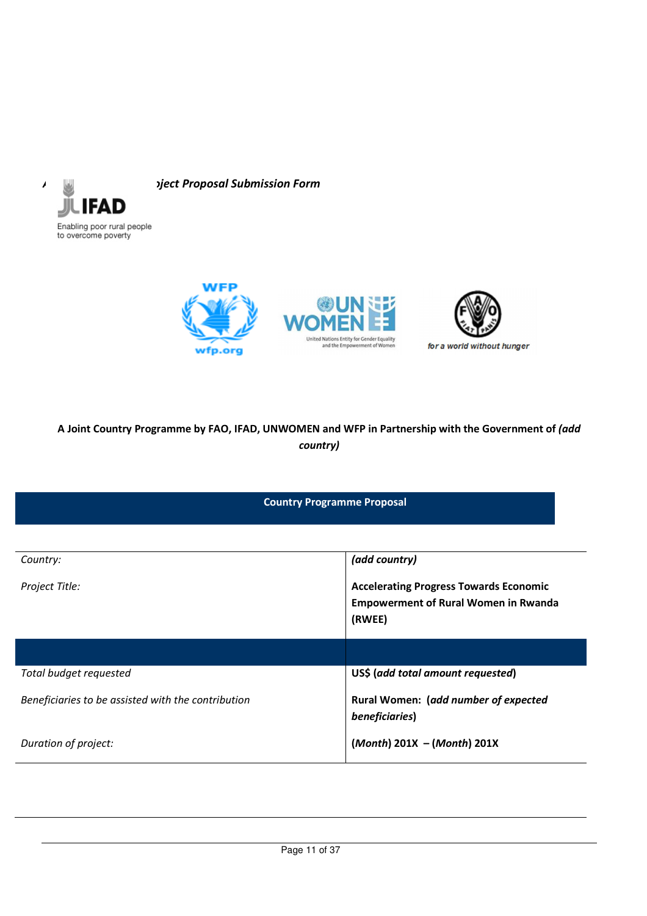

*Annex 2: JP RWEE Project Proposal Submission Form* 



# **A Joint Country Programme by FAO, IFAD, UNWOMEN and WFP in Partnership with the Government of** *(add country)*

**Country Programme Proposal** 

| Country:                                           | (add country)                                                                                          |
|----------------------------------------------------|--------------------------------------------------------------------------------------------------------|
| Project Title:                                     | <b>Accelerating Progress Towards Economic</b><br><b>Empowerment of Rural Women in Rwanda</b><br>(RWEE) |
|                                                    |                                                                                                        |
| Total budget requested                             | US\$ (add total amount requested)                                                                      |
| Beneficiaries to be assisted with the contribution | Rural Women: (add number of expected<br>beneficiaries)                                                 |
| Duration of project:                               | $(Month) 201X - (Month) 201X$                                                                          |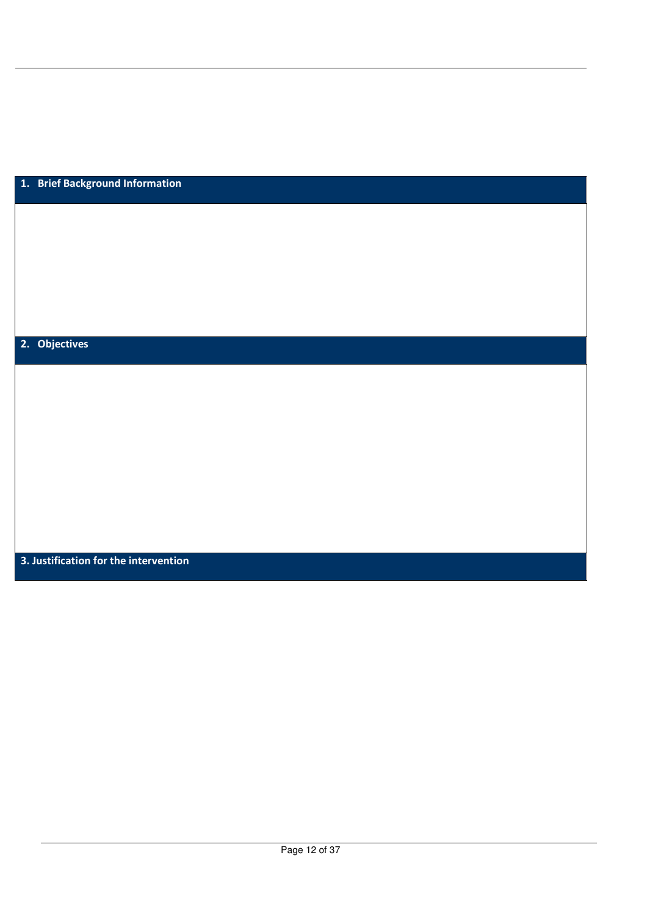| 1. Brief Background Information       |  |
|---------------------------------------|--|
|                                       |  |
|                                       |  |
|                                       |  |
|                                       |  |
|                                       |  |
|                                       |  |
|                                       |  |
|                                       |  |
| 2. Objectives                         |  |
|                                       |  |
|                                       |  |
|                                       |  |
|                                       |  |
|                                       |  |
|                                       |  |
|                                       |  |
|                                       |  |
|                                       |  |
|                                       |  |
|                                       |  |
|                                       |  |
| 3. Justification for the intervention |  |
|                                       |  |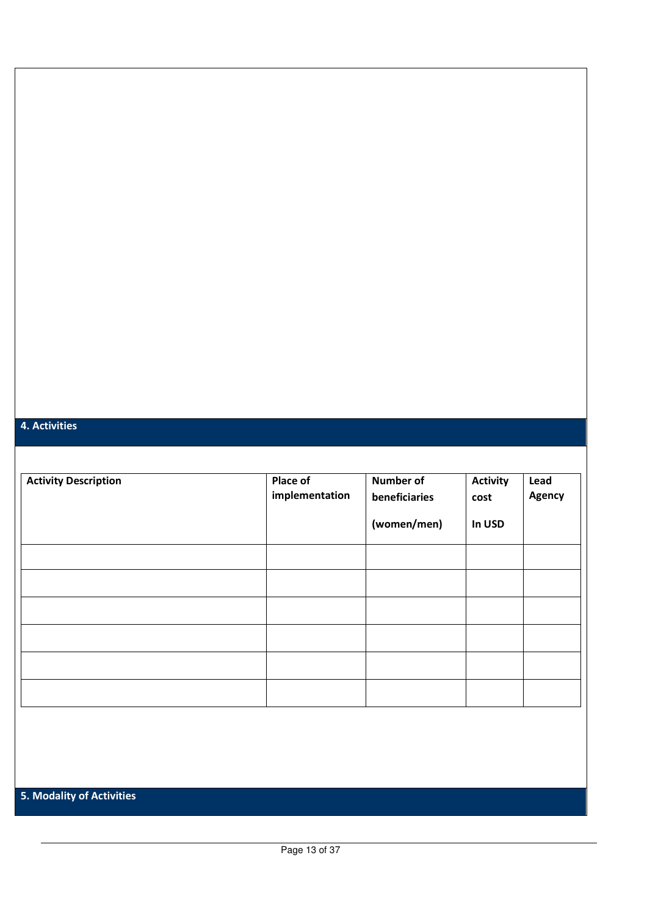## **4. Activities**

| <b>Activity Description</b>      | Place of<br>implementation | Number of<br>beneficiaries |        | Lead<br>Agency |
|----------------------------------|----------------------------|----------------------------|--------|----------------|
|                                  |                            | (women/men)                | In USD |                |
|                                  |                            |                            |        |                |
|                                  |                            |                            |        |                |
|                                  |                            |                            |        |                |
|                                  |                            |                            |        |                |
|                                  |                            |                            |        |                |
|                                  |                            |                            |        |                |
|                                  |                            |                            |        |                |
|                                  |                            |                            |        |                |
|                                  |                            |                            |        |                |
| <b>5. Modality of Activities</b> |                            |                            |        |                |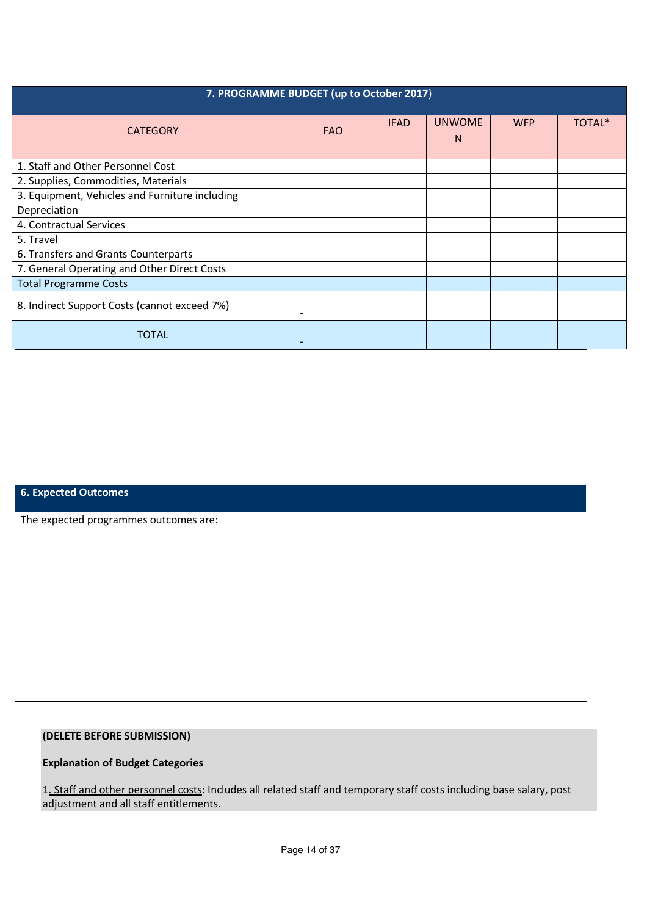| 7. PROGRAMME BUDGET (up to October 2017)       |            |             |                    |            |        |  |
|------------------------------------------------|------------|-------------|--------------------|------------|--------|--|
| <b>CATEGORY</b>                                | <b>FAO</b> | <b>IFAD</b> | <b>UNWOME</b><br>N | <b>WFP</b> | TOTAL* |  |
| 1. Staff and Other Personnel Cost              |            |             |                    |            |        |  |
| 2. Supplies, Commodities, Materials            |            |             |                    |            |        |  |
| 3. Equipment, Vehicles and Furniture including |            |             |                    |            |        |  |
| Depreciation                                   |            |             |                    |            |        |  |
| 4. Contractual Services                        |            |             |                    |            |        |  |
| 5. Travel                                      |            |             |                    |            |        |  |
| 6. Transfers and Grants Counterparts           |            |             |                    |            |        |  |
| 7. General Operating and Other Direct Costs    |            |             |                    |            |        |  |
| <b>Total Programme Costs</b>                   |            |             |                    |            |        |  |
| 8. Indirect Support Costs (cannot exceed 7%)   |            |             |                    |            |        |  |
| TOTAL                                          |            |             |                    |            |        |  |

# **6. Expected Outcomes**

The expected programmes outcomes are:

### **(DELETE BEFORE SUBMISSION)**

# **Explanation of Budget Categories**

1. Staff and other personnel costs: Includes all related staff and temporary staff costs including base salary, post adjustment and all staff entitlements.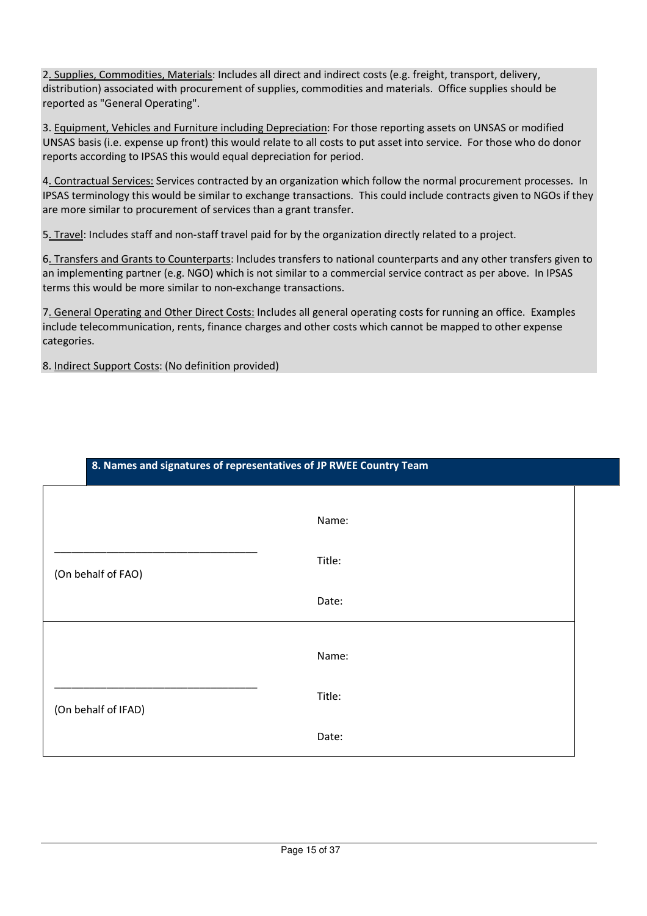2. Supplies, Commodities, Materials: Includes all direct and indirect costs (e.g. freight, transport, delivery, distribution) associated with procurement of supplies, commodities and materials. Office supplies should be reported as "General Operating".

3. Equipment, Vehicles and Furniture including Depreciation: For those reporting assets on UNSAS or modified UNSAS basis (i.e. expense up front) this would relate to all costs to put asset into service. For those who do donor reports according to IPSAS this would equal depreciation for period.

4. Contractual Services: Services contracted by an organization which follow the normal procurement processes. In IPSAS terminology this would be similar to exchange transactions. This could include contracts given to NGOs if they are more similar to procurement of services than a grant transfer.

5. Travel: Includes staff and non-staff travel paid for by the organization directly related to a project.

**8. Names and signatures of representatives of JP RWEE Country Team** 

6. Transfers and Grants to Counterparts: Includes transfers to national counterparts and any other transfers given to an implementing partner (e.g. NGO) which is not similar to a commercial service contract as per above. In IPSAS terms this would be more similar to non-exchange transactions.

7. General Operating and Other Direct Costs: Includes all general operating costs for running an office. Examples include telecommunication, rents, finance charges and other costs which cannot be mapped to other expense categories.

8. Indirect Support Costs: (No definition provided)

|                     | Name:  |  |
|---------------------|--------|--|
| (On behalf of FAO)  | Title: |  |
|                     | Date:  |  |
|                     | Name:  |  |
| (On behalf of IFAD) | Title: |  |
|                     | Date:  |  |

Page 15 of 37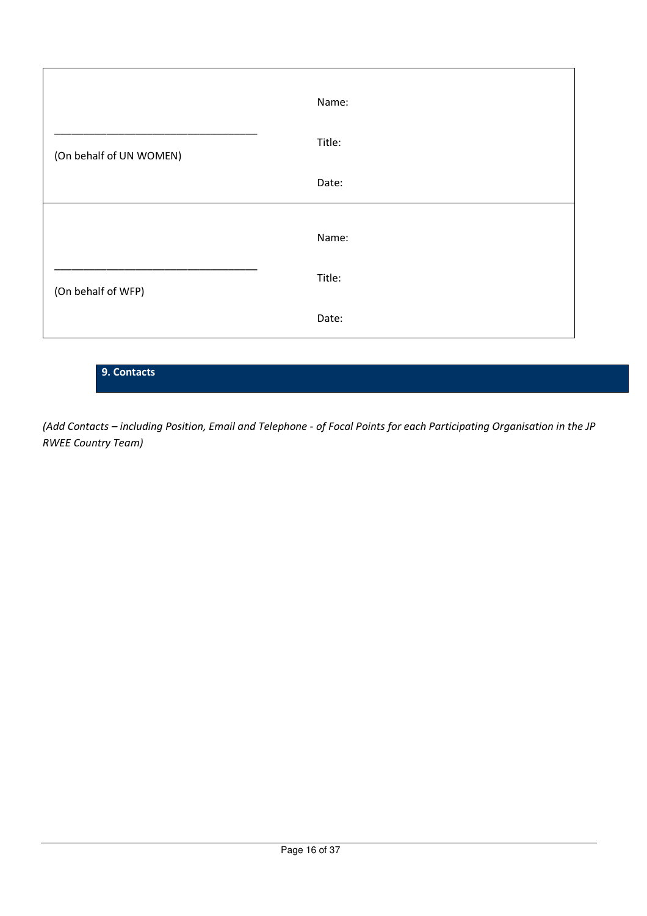|                         | Name:  |
|-------------------------|--------|
| (On behalf of UN WOMEN) | Title: |
|                         | Date:  |
|                         |        |
|                         | Name:  |
| (On behalf of WFP)      | Title: |
|                         | Date:  |

# **9. Contacts**

*(Add Contacts – including Position, Email and Telephone - of Focal Points for each Participating Organisation in the JP RWEE Country Team)*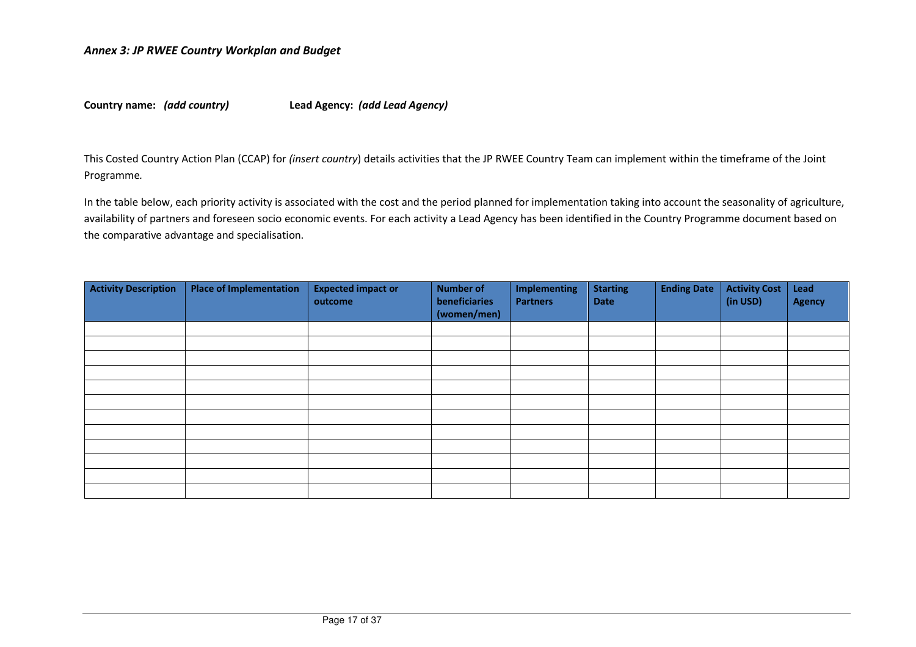**Country name:** *(add country)* **Lead Agency:** *(add Lead Agency)* 

This Costed Country Action Plan (CCAP) for *(insert country*) details activities that the JP RWEE Country Team can implement within the timeframe of the Joint Programme*.* 

In the table below, each priority activity is associated with the cost and the period planned for implementation taking into account the seasonality of agriculture, availability of partners and foreseen socio economic events. For each activity a Lead Agency has been identified in the Country Programme document based on the comparative advantage and specialisation.

| <b>Activity Description</b> | <b>Place of Implementation</b> | <b>Expected impact or</b><br>outcome | <b>Number of</b><br>beneficiaries<br>(women/men) | <b>Implementing</b><br><b>Partners</b> | <b>Starting</b><br>Date | <b>Ending Date</b> | <b>Activity Cost</b><br>(in USD) | Lead<br><b>Agency</b> |
|-----------------------------|--------------------------------|--------------------------------------|--------------------------------------------------|----------------------------------------|-------------------------|--------------------|----------------------------------|-----------------------|
|                             |                                |                                      |                                                  |                                        |                         |                    |                                  |                       |
|                             |                                |                                      |                                                  |                                        |                         |                    |                                  |                       |
|                             |                                |                                      |                                                  |                                        |                         |                    |                                  |                       |
|                             |                                |                                      |                                                  |                                        |                         |                    |                                  |                       |
|                             |                                |                                      |                                                  |                                        |                         |                    |                                  |                       |
|                             |                                |                                      |                                                  |                                        |                         |                    |                                  |                       |
|                             |                                |                                      |                                                  |                                        |                         |                    |                                  |                       |
|                             |                                |                                      |                                                  |                                        |                         |                    |                                  |                       |
|                             |                                |                                      |                                                  |                                        |                         |                    |                                  |                       |
|                             |                                |                                      |                                                  |                                        |                         |                    |                                  |                       |
|                             |                                |                                      |                                                  |                                        |                         |                    |                                  |                       |
|                             |                                |                                      |                                                  |                                        |                         |                    |                                  |                       |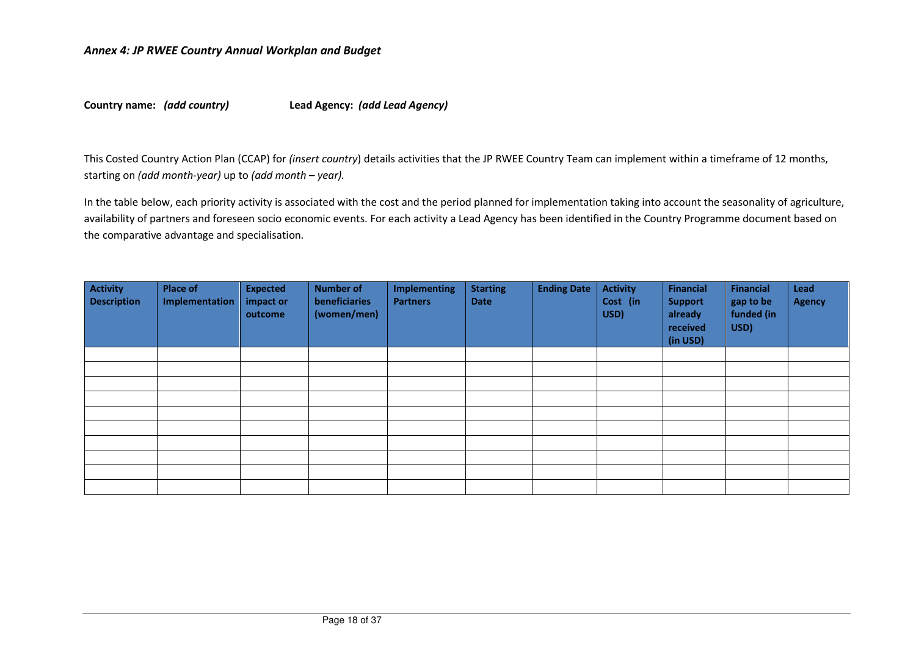**Country name:** *(add country)* **Lead Agency:** *(add Lead Agency)* 

This Costed Country Action Plan (CCAP) for *(insert country*) details activities that the JP RWEE Country Team can implement within a timeframe of 12 months, starting on *(add month-year)* up to *(add month – year).* 

In the table below, each priority activity is associated with the cost and the period planned for implementation taking into account the seasonality of agriculture, availability of partners and foreseen socio economic events. For each activity a Lead Agency has been identified in the Country Programme document based on the comparative advantage and specialisation.

| <b>Activity</b><br><b>Description</b> | <b>Place of</b><br>Implementation | <b>Expected</b><br>impact or<br>outcome | <b>Number of</b><br>beneficiaries<br>(women/men) | <b>Implementing</b><br><b>Partners</b> | <b>Starting</b><br><b>Date</b> | <b>Ending Date</b> | <b>Activity</b><br>Cost (in<br>USD) | Financial<br><b>Support</b><br>already<br>received<br>(in USD) | <b>Financial</b><br>gap to be<br>funded (in<br>USD) | Lead<br><b>Agency</b> |
|---------------------------------------|-----------------------------------|-----------------------------------------|--------------------------------------------------|----------------------------------------|--------------------------------|--------------------|-------------------------------------|----------------------------------------------------------------|-----------------------------------------------------|-----------------------|
|                                       |                                   |                                         |                                                  |                                        |                                |                    |                                     |                                                                |                                                     |                       |
|                                       |                                   |                                         |                                                  |                                        |                                |                    |                                     |                                                                |                                                     |                       |
|                                       |                                   |                                         |                                                  |                                        |                                |                    |                                     |                                                                |                                                     |                       |
|                                       |                                   |                                         |                                                  |                                        |                                |                    |                                     |                                                                |                                                     |                       |
|                                       |                                   |                                         |                                                  |                                        |                                |                    |                                     |                                                                |                                                     |                       |
|                                       |                                   |                                         |                                                  |                                        |                                |                    |                                     |                                                                |                                                     |                       |
|                                       |                                   |                                         |                                                  |                                        |                                |                    |                                     |                                                                |                                                     |                       |
|                                       |                                   |                                         |                                                  |                                        |                                |                    |                                     |                                                                |                                                     |                       |
|                                       |                                   |                                         |                                                  |                                        |                                |                    |                                     |                                                                |                                                     |                       |
|                                       |                                   |                                         |                                                  |                                        |                                |                    |                                     |                                                                |                                                     |                       |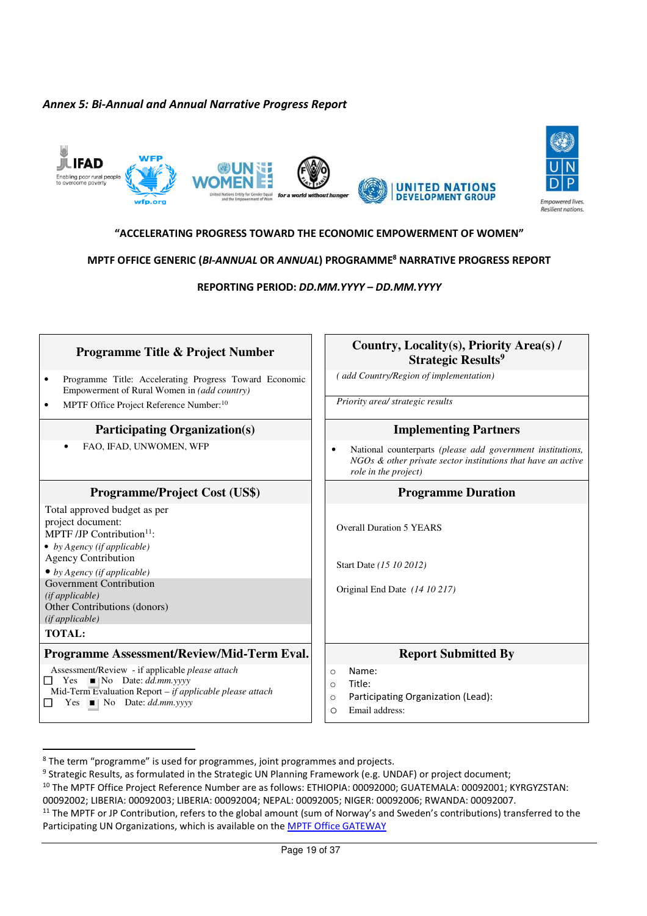## *Annex 5: Bi-Annual and Annual Narrative Progress Report*





### **"ACCELERATING PROGRESS TOWARD THE ECONOMIC EMPOWERMENT OF WOMEN"**

### **MPTF OFFICE GENERIC (***BI-ANNUAL* **OR** *ANNUAL***) PROGRAMME<sup>8</sup> NARRATIVE PROGRESS REPORT**

**REPORTING PERIOD:** *DD.MM.YYYY* **–** *DD.MM.YYYY*

| <b>Programme Title &amp; Project Number</b>                                                                                                                                                                                                                                                            | Country, Locality(s), Priority Area(s) /<br><b>Strategic Results<sup>9</sup></b>                                                                          |
|--------------------------------------------------------------------------------------------------------------------------------------------------------------------------------------------------------------------------------------------------------------------------------------------------------|-----------------------------------------------------------------------------------------------------------------------------------------------------------|
| Programme Title: Accelerating Progress Toward Economic<br>$\bullet$<br>Empowerment of Rural Women in (add country)                                                                                                                                                                                     | add Country/Region of implementation)                                                                                                                     |
| MPTF Office Project Reference Number: <sup>10</sup><br>$\bullet$                                                                                                                                                                                                                                       | Priority area/ strategic results                                                                                                                          |
| <b>Participating Organization(s)</b>                                                                                                                                                                                                                                                                   | <b>Implementing Partners</b>                                                                                                                              |
| FAO, IFAD, UNWOMEN, WFP                                                                                                                                                                                                                                                                                | National counterparts (please add government institutions,<br>٠<br>$NGOs$ & other private sector institutions that have an active<br>role in the project) |
| <b>Programme/Project Cost (US\$)</b>                                                                                                                                                                                                                                                                   | <b>Programme Duration</b>                                                                                                                                 |
| Total approved budget as per<br>project document:<br>MPTF /JP Contribution <sup>11</sup> :<br>• by Agency (if applicable)<br><b>Agency Contribution</b><br>• by Agency (if applicable)<br>Government Contribution<br>(ifappliedble)<br>Other Contributions (donors)<br>(ifappliedble)<br><b>TOTAL:</b> | <b>Overall Duration 5 YEARS</b><br>Start Date (15 10 2012)<br>Original End Date (14 10 217)                                                               |
| Programme Assessment/Review/Mid-Term Eval.                                                                                                                                                                                                                                                             | <b>Report Submitted By</b>                                                                                                                                |
| Assessment/Review - if applicable please attach<br>Yes $\blacksquare$ No Date: <i>dd.mm.yyyy</i><br>$\Box$<br>Mid-Term Evaluation Report – if applicable please attach<br>Yes $\blacksquare$ No Date: <i>dd.mm.yyyy</i><br>$\mathsf{L}$                                                                | Name:<br>$\circ$<br>Title:<br>$\circ$<br>Participating Organization (Lead):<br>$\circ$<br>Email address:<br>$\circ$                                       |

<sup>&</sup>lt;sup>8</sup> The term "programme" is used for programmes, joint programmes and projects.

<u>.</u>

<sup>&</sup>lt;sup>9</sup> Strategic Results, as formulated in the Strategic UN Planning Framework (e.g. UNDAF) or project document;

<sup>10</sup> The MPTF Office Project Reference Number are as follows: ETHIOPIA: 00092000; GUATEMALA: 00092001; KYRGYZSTAN: 00092002; LIBERIA: 00092003; LIBERIA: 00092004; NEPAL: 00092005; NIGER: 00092006; RWANDA: 00092007.

<sup>&</sup>lt;sup>11</sup> The MPTF or JP Contribution, refers to the global amount (sum of Norway's and Sweden's contributions) transferred to the Participating UN Organizations, which is available on the **MPTF Office GATEWAY**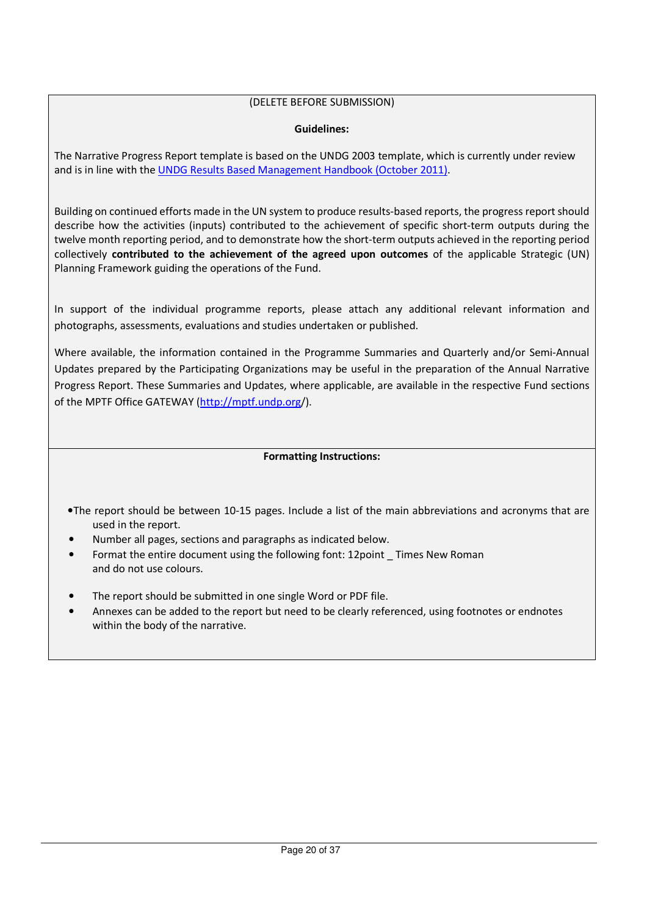## (DELETE BEFORE SUBMISSION)

### **Guidelines:**

The Narrative Progress Report template is based on the UNDG 2003 template, which is currently under review and is in line with the UNDG Results Based Management Handbook (October 2011).

Building on continued efforts made in the UN system to produce results-based reports, the progress report should describe how the activities (inputs) contributed to the achievement of specific short-term outputs during the twelve month reporting period, and to demonstrate how the short-term outputs achieved in the reporting period collectively **contributed to the achievement of the agreed upon outcomes** of the applicable Strategic (UN) Planning Framework guiding the operations of the Fund.

In support of the individual programme reports, please attach any additional relevant information and photographs, assessments, evaluations and studies undertaken or published.

Where available, the information contained in the Programme Summaries and Quarterly and/or Semi-Annual Updates prepared by the Participating Organizations may be useful in the preparation of the Annual Narrative Progress Report. These Summaries and Updates, where applicable, are available in the respective Fund sections of the MPTF Office GATEWAY (http://mptf.undp.org/).

### **Formatting Instructions:**

- •The report should be between 10-15 pages. Include a list of the main abbreviations and acronyms that are used in the report.
- Number all pages, sections and paragraphs as indicated below.
- Format the entire document using the following font: 12point \_ Times New Roman and do not use colours.
- The report should be submitted in one single Word or PDF file.
- Annexes can be added to the report but need to be clearly referenced, using footnotes or endnotes within the body of the narrative.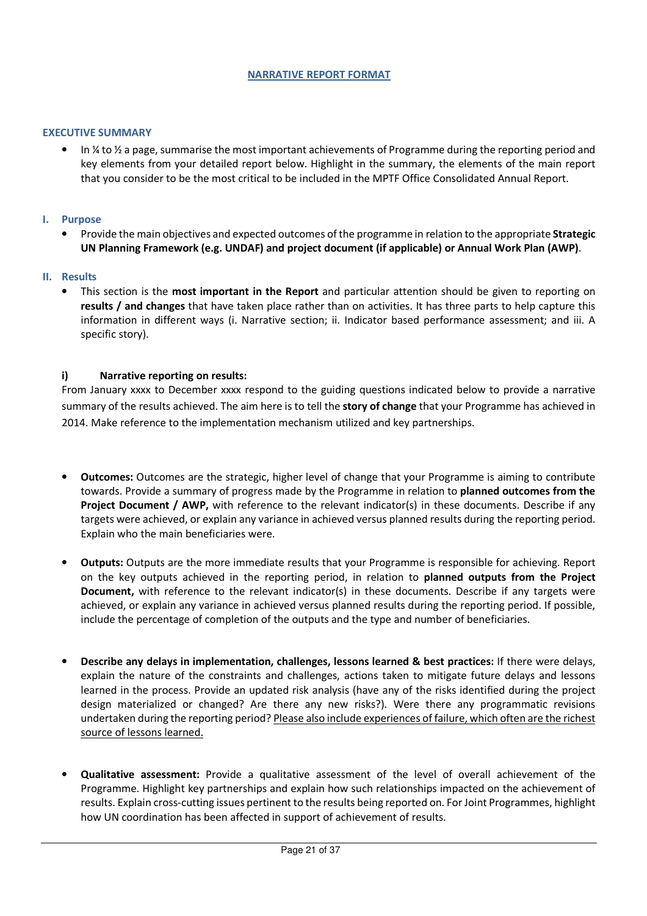#### **NARRATIVE REPORT FORMAT**

#### **EXECUTIVE SUMMARY**

• In ¼ to ½ a page, summarise the most important achievements of Programme during the reporting period and key elements from your detailed report below. Highlight in the summary, the elements of the main report that you consider to be the most critical to be included in the MPTF Office Consolidated Annual Report.

#### **I. Purpose**

• Provide the main objectives and expected outcomes of the programme in relation to the appropriate **Strategic UN Planning Framework (e.g. UNDAF) and project document (if applicable) or Annual Work Plan (AWP)**.

#### **II. Results**

• This section is the **most important in the Report** and particular attention should be given to reporting on **results / and changes** that have taken place rather than on activities. It has three parts to help capture this information in different ways (i. Narrative section; ii. Indicator based performance assessment; and iii. A specific story).

#### **i) Narrative reporting on results:**

From January xxxx to December xxxx respond to the guiding questions indicated below to provide a narrative summary of the results achieved. The aim here is to tell the **story of change** that your Programme has achieved in 2014. Make reference to the implementation mechanism utilized and key partnerships.

- **Outcomes:** Outcomes are the strategic, higher level of change that your Programme is aiming to contribute towards. Provide a summary of progress made by the Programme in relation to **planned outcomes from the Project Document / AWP,** with reference to the relevant indicator(s) in these documents. Describe if any targets were achieved, or explain any variance in achieved versus planned results during the reporting period. Explain who the main beneficiaries were.
- **Outputs:** Outputs are the more immediate results that your Programme is responsible for achieving. Report on the key outputs achieved in the reporting period, in relation to **planned outputs from the Project Document,** with reference to the relevant indicator(s) in these documents. Describe if any targets were achieved, or explain any variance in achieved versus planned results during the reporting period. If possible, include the percentage of completion of the outputs and the type and number of beneficiaries.
- **Describe any delays in implementation, challenges, lessons learned & best practices:** If there were delays, explain the nature of the constraints and challenges, actions taken to mitigate future delays and lessons learned in the process. Provide an updated risk analysis (have any of the risks identified during the project design materialized or changed? Are there any new risks?). Were there any programmatic revisions undertaken during the reporting period? Please also include experiences of failure, which often are the richest source of lessons learned.
- **Qualitative assessment:** Provide a qualitative assessment of the level of overall achievement of the Programme. Highlight key partnerships and explain how such relationships impacted on the achievement of results. Explain cross-cutting issues pertinent to the results being reported on. For Joint Programmes, highlight how UN coordination has been affected in support of achievement of results.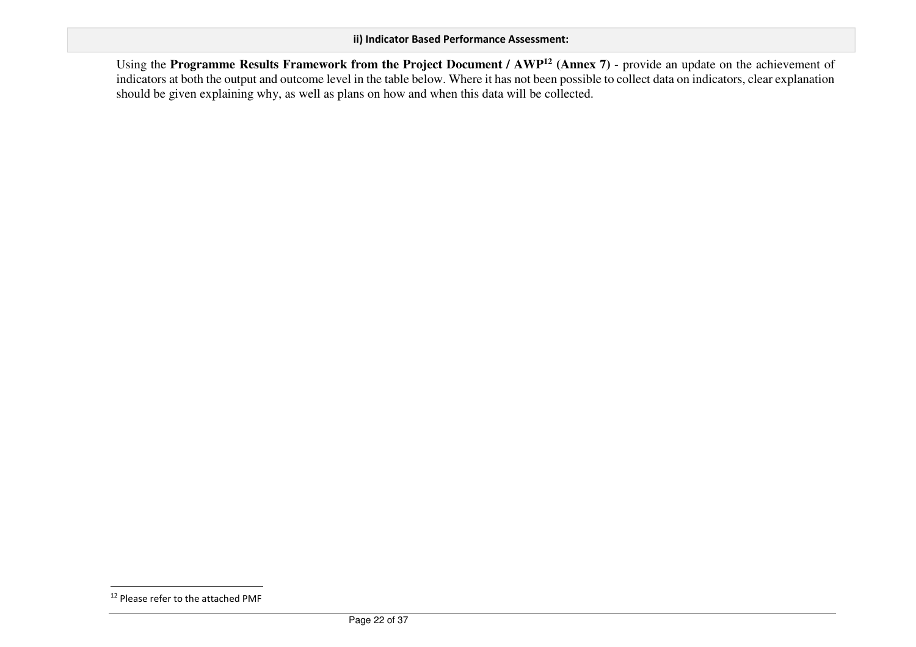Using the **Programme Results Framework from the Project Document / AWP<sup>12</sup> (Annex 7)** - provide an update on the achievement of indicators at both the output and outcome level in the table below. Where it has not been possible to collect data on indicators, clear explanation should be given explaining why, as well as plans on how and when this data will be collected.

<sup>&</sup>lt;sup>12</sup> Please refer to the attached PMF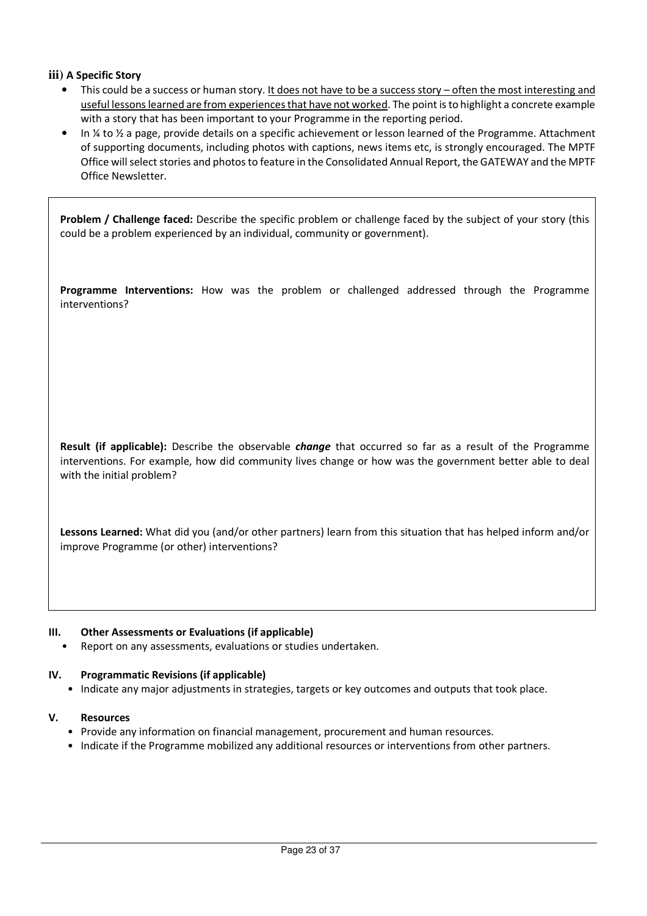## **iii) A Specific Story**

- This could be a success or human story. It does not have to be a success story often the most interesting and useful lessons learned are from experiences that have not worked. The point is to highlight a concrete example with a story that has been important to your Programme in the reporting period.
- In ¼ to ½ a page, provide details on a specific achievement or lesson learned of the Programme. Attachment of supporting documents, including photos with captions, news items etc, is strongly encouraged. The MPTF Office will select stories and photos to feature in the Consolidated Annual Report, the GATEWAY and the MPTF Office Newsletter.

**Problem / Challenge faced:** Describe the specific problem or challenge faced by the subject of your story (this could be a problem experienced by an individual, community or government).

**Programme Interventions:** How was the problem or challenged addressed through the Programme interventions?

**Result (if applicable):** Describe the observable *change* that occurred so far as a result of the Programme interventions. For example, how did community lives change or how was the government better able to deal with the initial problem?

**Lessons Learned:** What did you (and/or other partners) learn from this situation that has helped inform and/or improve Programme (or other) interventions?

#### **III. Other Assessments or Evaluations (if applicable)**

Report on any assessments, evaluations or studies undertaken.

#### **IV. Programmatic Revisions (if applicable)**

• Indicate any major adjustments in strategies, targets or key outcomes and outputs that took place.

#### **V. Resources**

- Provide any information on financial management, procurement and human resources.
- Indicate if the Programme mobilized any additional resources or interventions from other partners.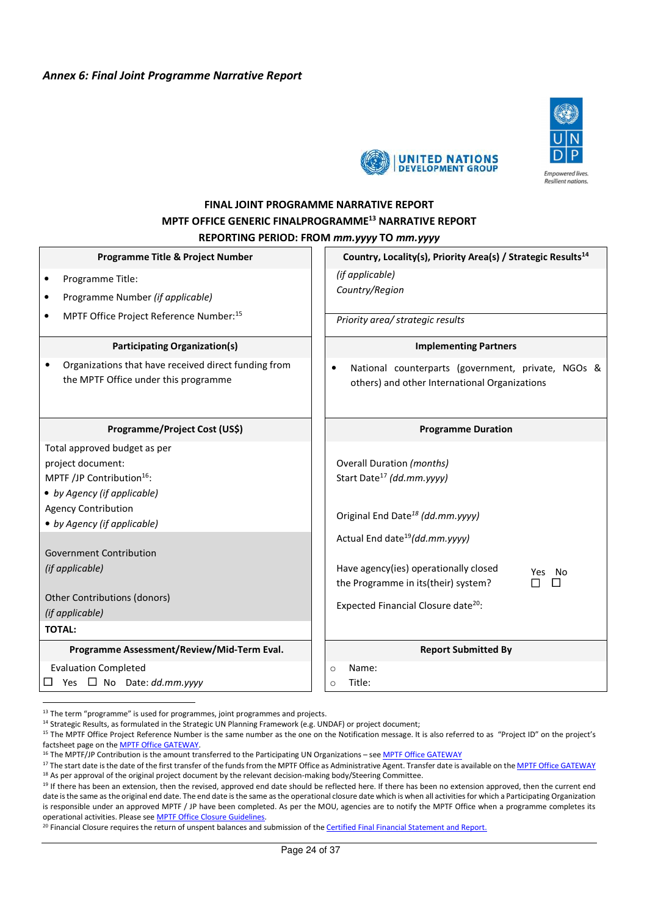### *Annex 6: Final Joint Programme Narrative Report*





# **FINAL JOINT PROGRAMME NARRATIVE REPORT MPTF OFFICE GENERIC FINALPROGRAMME<sup>13</sup> NARRATIVE REPORT REPORTING PERIOD: FROM** *mm.yyyy* **TO** *mm.yyyy*

| Programme Title & Project Number                                                                                                                                                                                  | Country, Locality(s), Priority Area(s) / Strategic Results <sup>14</sup>                                                                                                |
|-------------------------------------------------------------------------------------------------------------------------------------------------------------------------------------------------------------------|-------------------------------------------------------------------------------------------------------------------------------------------------------------------------|
| Programme Title:<br>$\bullet$<br>Programme Number (if applicable)<br>٠                                                                                                                                            | (if applicable)<br>Country/Region                                                                                                                                       |
| MPTF Office Project Reference Number:15<br>$\bullet$                                                                                                                                                              | Priority area/ strategic results                                                                                                                                        |
| <b>Participating Organization(s)</b>                                                                                                                                                                              | <b>Implementing Partners</b>                                                                                                                                            |
| Organizations that have received direct funding from<br>$\bullet$<br>the MPTF Office under this programme                                                                                                         | National counterparts (government, private, NGOs &<br>others) and other International Organizations                                                                     |
| Programme/Project Cost (US\$)                                                                                                                                                                                     | <b>Programme Duration</b>                                                                                                                                               |
| Total approved budget as per<br>project document:<br>MPTF /JP Contribution <sup>16</sup> :<br>• by Agency (if applicable)<br><b>Agency Contribution</b><br>• by Agency (if applicable)<br>Government Contribution | <b>Overall Duration (months)</b><br>Start Date <sup>17</sup> (dd.mm.yyyy)<br>Original End Date <sup>18</sup> (dd.mm.yyyy)<br>Actual End date <sup>19</sup> (dd.mm.yyyy) |
| (if applicable)<br>Other Contributions (donors)<br>(if applicable)<br><b>TOTAL:</b>                                                                                                                               | Have agency(ies) operationally closed<br>Yes<br>- No<br>the Programme in its(their) system?<br>Expected Financial Closure date <sup>20</sup> :                          |
| Programme Assessment/Review/Mid-Term Eval.                                                                                                                                                                        | <b>Report Submitted By</b>                                                                                                                                              |
| <b>Evaluation Completed</b><br>Yes $\Box$ No Date: dd.mm.yyyy                                                                                                                                                     | Name:<br>$\circ$<br>Title:<br>$\Omega$                                                                                                                                  |

 $13$  The term "programme" is used for programmes, joint programmes and projects.

<sup>14</sup> Strategic Results, as formulated in the Strategic UN Planning Framework (e.g. UNDAF) or project document;

<sup>&</sup>lt;sup>15</sup> The MPTF Office Project Reference Number is the same number as the one on the Notification message. It is also referred to as "Project ID" on the project's factsheet page on the MPTF Office GATEWAY.

<sup>&</sup>lt;sup>16</sup> The MPTF/JP Contribution is the amount transferred to the Participating UN Organizations – see MPTF Office GATEWAY

<sup>&</sup>lt;sup>17</sup> The start date is the date of the first transfer of the funds from the MPTF Office as Administrative Agent. Transfer date is available on the MPTF Office GATEWAY <sup>18</sup> As per approval of the original project document by the relevant decision-making body/Steering Committee.

<sup>&</sup>lt;sup>19</sup> If there has been an extension, then the revised, approved end date should be reflected here. If there has been no extension approved, then the current end date is the same as the original end date. The end date is the same as the operational closure date which is when all activities for which a Participating Organization is responsible under an approved MPTF / JP have been completed. As per the MOU, agencies are to notify the MPTF Office when a programme completes its operational activities. Please see MPTF Office Closure Guidelines.

<sup>&</sup>lt;sup>20</sup> Financial Closure requires the return of unspent balances and submission of the Certified Final Financial Statement and Report.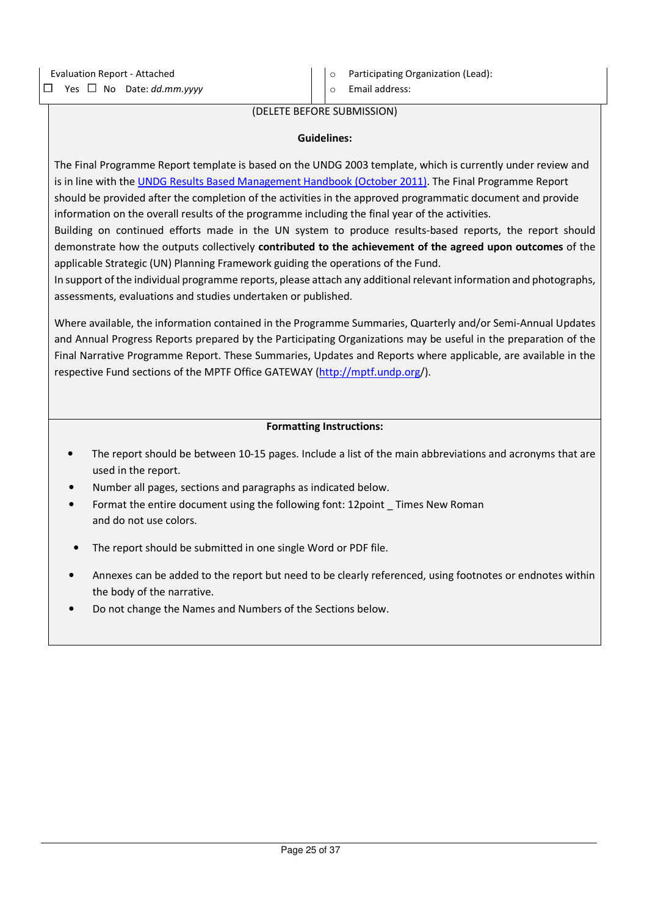o Email address:

#### (DELETE BEFORE SUBMISSION)

#### **Guidelines:**

The Final Programme Report template is based on the UNDG 2003 template, which is currently under review and is in line with the UNDG Results Based Management Handbook (October 2011). The Final Programme Report should be provided after the completion of the activities in the approved programmatic document and provide information on the overall results of the programme including the final year of the activities.

Building on continued efforts made in the UN system to produce results-based reports, the report should demonstrate how the outputs collectively **contributed to the achievement of the agreed upon outcomes** of the applicable Strategic (UN) Planning Framework guiding the operations of the Fund.

In support of the individual programme reports, please attach any additional relevant information and photographs, assessments, evaluations and studies undertaken or published.

Where available, the information contained in the Programme Summaries, Quarterly and/or Semi-Annual Updates and Annual Progress Reports prepared by the Participating Organizations may be useful in the preparation of the Final Narrative Programme Report. These Summaries, Updates and Reports where applicable, are available in the respective Fund sections of the MPTF Office GATEWAY (http://mptf.undp.org/).

#### **Formatting Instructions:**

- The report should be between 10-15 pages. Include a list of the main abbreviations and acronyms that are used in the report.
- Number all pages, sections and paragraphs as indicated below.
- Format the entire document using the following font: 12point \_ Times New Roman and do not use colors.
- The report should be submitted in one single Word or PDF file.
- Annexes can be added to the report but need to be clearly referenced, using footnotes or endnotes within the body of the narrative.
- Do not change the Names and Numbers of the Sections below.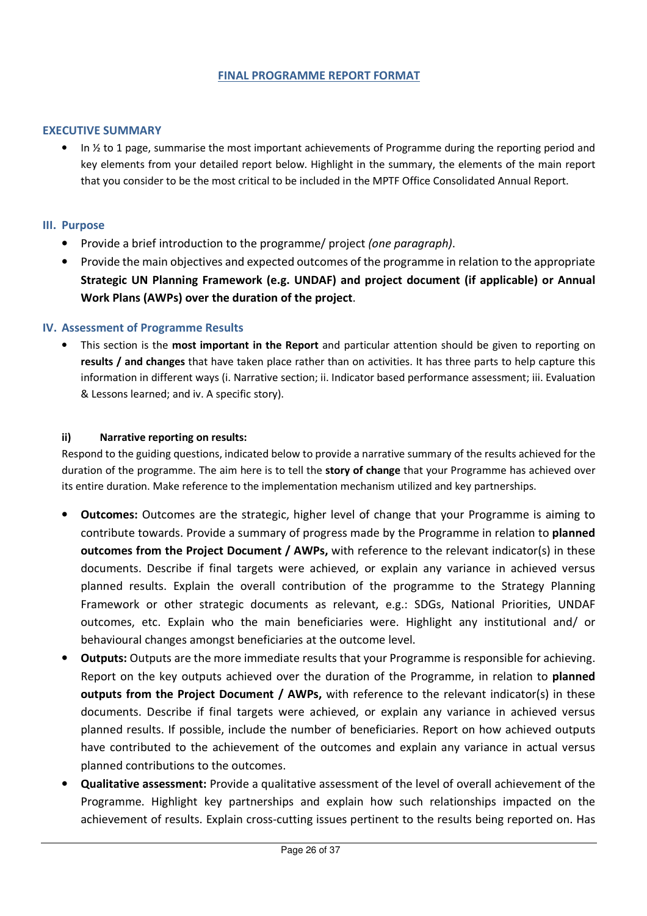### **FINAL PROGRAMME REPORT FORMAT**

### **EXECUTIVE SUMMARY**

• In  $\frac{1}{2}$  to 1 page, summarise the most important achievements of Programme during the reporting period and key elements from your detailed report below. Highlight in the summary, the elements of the main report that you consider to be the most critical to be included in the MPTF Office Consolidated Annual Report.

### **III. Purpose**

- Provide a brief introduction to the programme/ project *(one paragraph)*.
- Provide the main objectives and expected outcomes of the programme in relation to the appropriate **Strategic UN Planning Framework (e.g. UNDAF) and project document (if applicable) or Annual Work Plans (AWPs) over the duration of the project**.

### **IV. Assessment of Programme Results**

• This section is the **most important in the Report** and particular attention should be given to reporting on **results / and changes** that have taken place rather than on activities. It has three parts to help capture this information in different ways (i. Narrative section; ii. Indicator based performance assessment; iii. Evaluation & Lessons learned; and iv. A specific story).

#### **ii) Narrative reporting on results:**

Respond to the guiding questions, indicated below to provide a narrative summary of the results achieved for the duration of the programme. The aim here is to tell the **story of change** that your Programme has achieved over its entire duration. Make reference to the implementation mechanism utilized and key partnerships.

- **Outcomes:** Outcomes are the strategic, higher level of change that your Programme is aiming to contribute towards. Provide a summary of progress made by the Programme in relation to **planned outcomes from the Project Document / AWPs,** with reference to the relevant indicator(s) in these documents. Describe if final targets were achieved, or explain any variance in achieved versus planned results. Explain the overall contribution of the programme to the Strategy Planning Framework or other strategic documents as relevant, e.g.: SDGs, National Priorities, UNDAF outcomes, etc. Explain who the main beneficiaries were. Highlight any institutional and/ or behavioural changes amongst beneficiaries at the outcome level.
- **Outputs:** Outputs are the more immediate results that your Programme is responsible for achieving. Report on the key outputs achieved over the duration of the Programme, in relation to **planned outputs from the Project Document / AWPs,** with reference to the relevant indicator(s) in these documents. Describe if final targets were achieved, or explain any variance in achieved versus planned results. If possible, include the number of beneficiaries. Report on how achieved outputs have contributed to the achievement of the outcomes and explain any variance in actual versus planned contributions to the outcomes.
- **Qualitative assessment:** Provide a qualitative assessment of the level of overall achievement of the Programme. Highlight key partnerships and explain how such relationships impacted on the achievement of results. Explain cross-cutting issues pertinent to the results being reported on. Has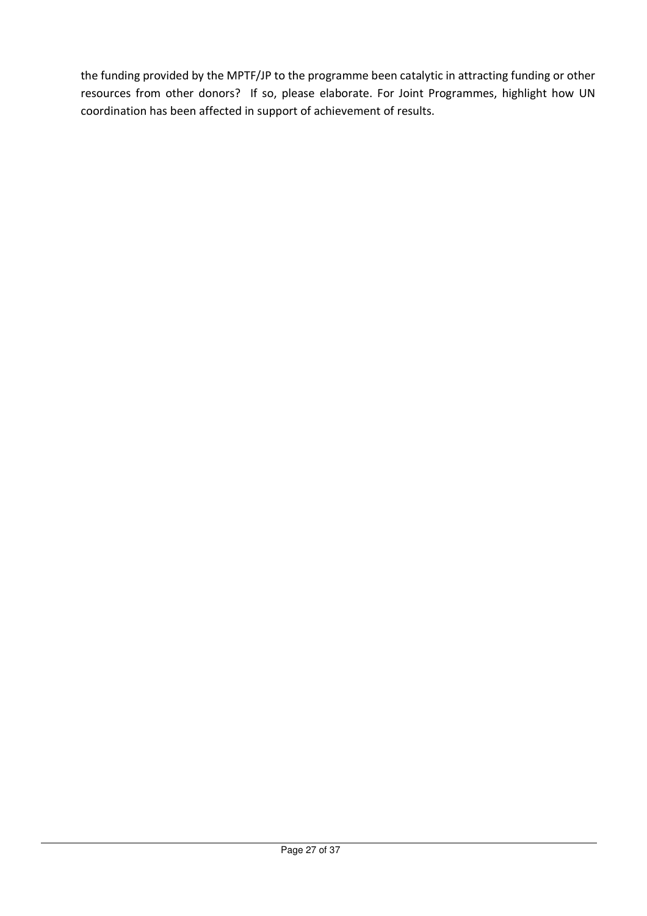the funding provided by the MPTF/JP to the programme been catalytic in attracting funding or other resources from other donors? If so, please elaborate. For Joint Programmes, highlight how UN coordination has been affected in support of achievement of results.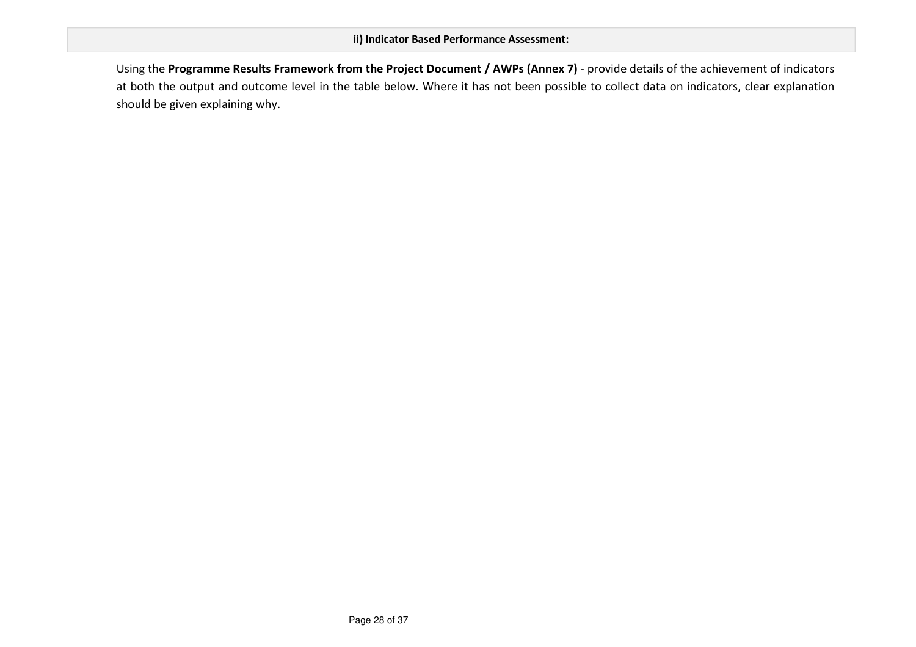Using the **Programme Results Framework from the Project Document / AWPs (Annex 7)** - provide details of the achievement of indicators at both the output and outcome level in the table below. Where it has not been possible to collect data on indicators, clear explanation should be given explaining why.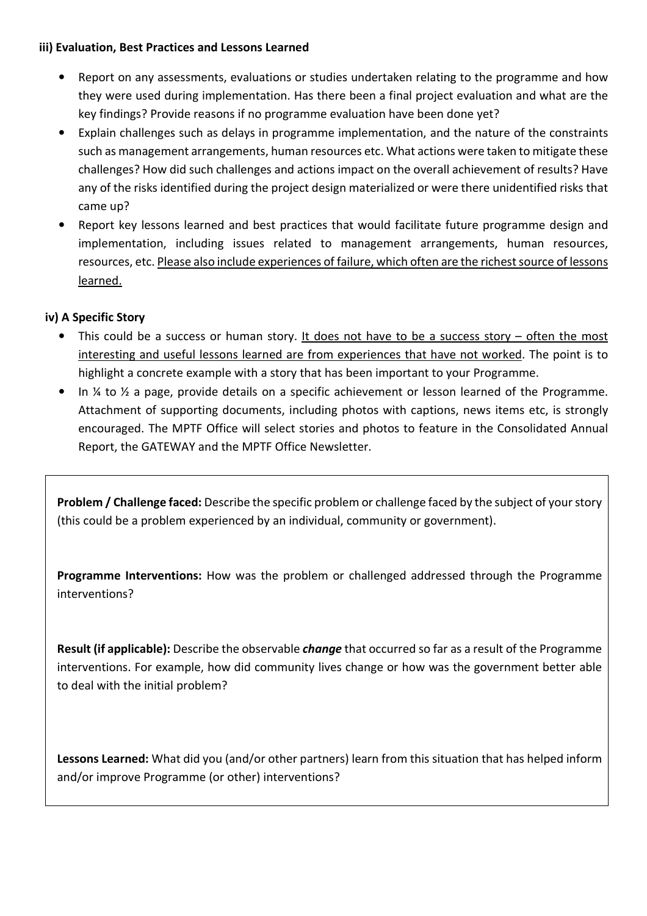# **iii) Evaluation, Best Practices and Lessons Learned**

- Report on any assessments, evaluations or studies undertaken relating to the programme and how they were used during implementation. Has there been a final project evaluation and what are the key findings? Provide reasons if no programme evaluation have been done yet?
- Explain challenges such as delays in programme implementation, and the nature of the constraints such as management arrangements, human resources etc. What actions were taken to mitigate these challenges? How did such challenges and actions impact on the overall achievement of results? Have any of the risks identified during the project design materialized or were there unidentified risks that came up?
- Report key lessons learned and best practices that would facilitate future programme design and implementation, including issues related to management arrangements, human resources, resources, etc. Please also include experiences of failure, which often are the richest source of lessons learned.

# **iv) A Specific Story**

- This could be a success or human story. It does not have to be a success story often the most interesting and useful lessons learned are from experiences that have not worked. The point is to highlight a concrete example with a story that has been important to your Programme.
- In ¼ to ½ a page, provide details on a specific achievement or lesson learned of the Programme. Attachment of supporting documents, including photos with captions, news items etc, is strongly encouraged. The MPTF Office will select stories and photos to feature in the Consolidated Annual Report, the GATEWAY and the MPTF Office Newsletter.

**Problem / Challenge faced:** Describe the specific problem or challenge faced by the subject of your story (this could be a problem experienced by an individual, community or government).

**Programme Interventions:** How was the problem or challenged addressed through the Programme interventions?

**Result (if applicable):** Describe the observable *change* that occurred so far as a result of the Programme interventions. For example, how did community lives change or how was the government better able to deal with the initial problem?

**Lessons Learned:** What did you (and/or other partners) learn from this situation that has helped inform and/or improve Programme (or other) interventions?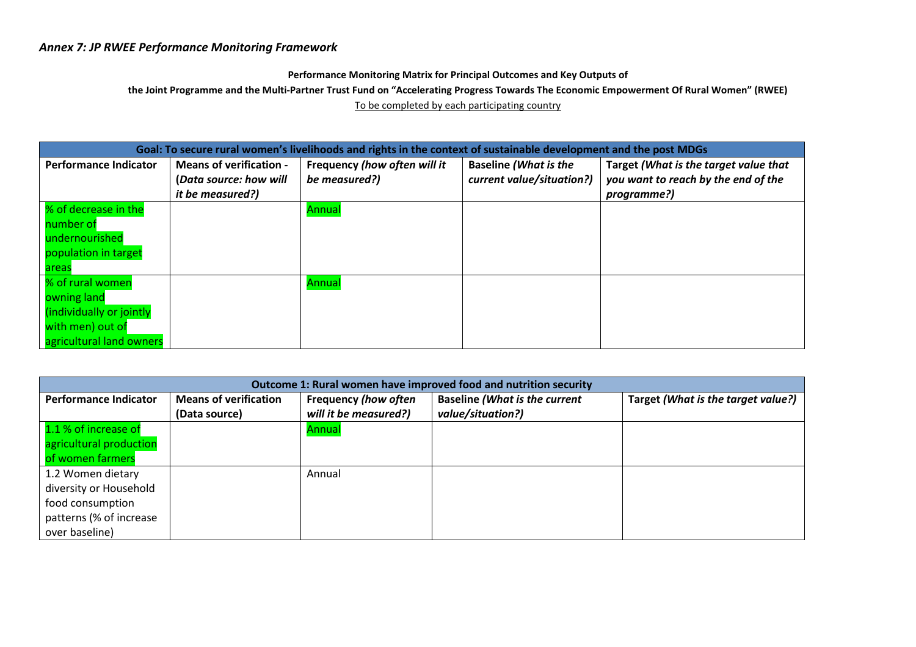# *Annex 7: JP RWEE Performance Monitoring Framework*

#### **Performance Monitoring Matrix for Principal Outcomes and Key Outputs of**

**the Joint Programme and the Multi-Partner Trust Fund on "Accelerating Progress Towards The Economic Empowerment Of Rural Women" (RWEE)** 

To be completed by each participating country

| Goal: To secure rural women's livelihoods and rights in the context of sustainable development and the post MDGs |                                |                              |                              |                                       |  |  |  |
|------------------------------------------------------------------------------------------------------------------|--------------------------------|------------------------------|------------------------------|---------------------------------------|--|--|--|
| <b>Performance Indicator</b>                                                                                     | <b>Means of verification -</b> | Frequency (how often will it | <b>Baseline (What is the</b> | Target (What is the target value that |  |  |  |
|                                                                                                                  | (Data source: how will         | be measured?)                | current value/situation?)    | you want to reach by the end of the   |  |  |  |
|                                                                                                                  | <i>it be measured?)</i>        |                              |                              | programme?)                           |  |  |  |
| % of decrease in the                                                                                             |                                | Annual                       |                              |                                       |  |  |  |
| number of                                                                                                        |                                |                              |                              |                                       |  |  |  |
| undernourished                                                                                                   |                                |                              |                              |                                       |  |  |  |
| population in target                                                                                             |                                |                              |                              |                                       |  |  |  |
| areas                                                                                                            |                                |                              |                              |                                       |  |  |  |
| % of rural women                                                                                                 |                                | Annual                       |                              |                                       |  |  |  |
| owning land                                                                                                      |                                |                              |                              |                                       |  |  |  |
| (individually or jointly                                                                                         |                                |                              |                              |                                       |  |  |  |
| with men) out of                                                                                                 |                                |                              |                              |                                       |  |  |  |
| agricultural land owners                                                                                         |                                |                              |                              |                                       |  |  |  |

| Outcome 1: Rural women have improved food and nutrition security |                              |                             |                                      |                                    |  |  |
|------------------------------------------------------------------|------------------------------|-----------------------------|--------------------------------------|------------------------------------|--|--|
| <b>Performance Indicator</b>                                     | <b>Means of verification</b> | <b>Frequency (how often</b> | <b>Baseline (What is the current</b> | Target (What is the target value?) |  |  |
|                                                                  | (Data source)                | will it be measured?)       | value/situation?)                    |                                    |  |  |
| 1.1 % of increase of                                             |                              | Annual                      |                                      |                                    |  |  |
| agricultural production                                          |                              |                             |                                      |                                    |  |  |
| of women farmers                                                 |                              |                             |                                      |                                    |  |  |
| 1.2 Women dietary                                                |                              | Annual                      |                                      |                                    |  |  |
| diversity or Household                                           |                              |                             |                                      |                                    |  |  |
| food consumption                                                 |                              |                             |                                      |                                    |  |  |
| patterns (% of increase                                          |                              |                             |                                      |                                    |  |  |
| over baseline)                                                   |                              |                             |                                      |                                    |  |  |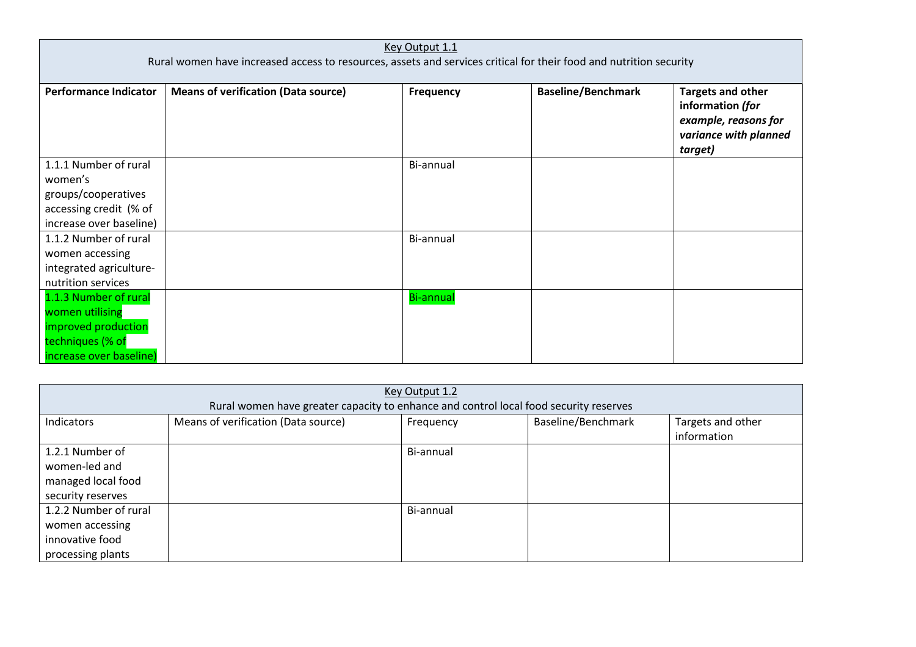| Key Output 1.1<br>Rural women have increased access to resources, assets and services critical for their food and nutrition security |                                            |                  |                           |                                                                                                          |  |
|--------------------------------------------------------------------------------------------------------------------------------------|--------------------------------------------|------------------|---------------------------|----------------------------------------------------------------------------------------------------------|--|
| <b>Performance Indicator</b>                                                                                                         | <b>Means of verification (Data source)</b> | Frequency        | <b>Baseline/Benchmark</b> | <b>Targets and other</b><br>information (for<br>example, reasons for<br>variance with planned<br>target) |  |
| 1.1.1 Number of rural<br>women's<br>groups/cooperatives<br>accessing credit (% of<br>increase over baseline)                         |                                            | Bi-annual        |                           |                                                                                                          |  |
| 1.1.2 Number of rural<br>women accessing<br>integrated agriculture-<br>nutrition services                                            |                                            | Bi-annual        |                           |                                                                                                          |  |
| 1.1.3 Number of rural<br>women utilising<br>improved production<br>techniques (% of<br>increase over baseline)                       |                                            | <b>Bi-annual</b> |                           |                                                                                                          |  |

| Key Output 1.2        |                                                                                       |           |                    |                   |  |  |
|-----------------------|---------------------------------------------------------------------------------------|-----------|--------------------|-------------------|--|--|
|                       | Rural women have greater capacity to enhance and control local food security reserves |           |                    |                   |  |  |
| Indicators            | Means of verification (Data source)                                                   | Frequency | Baseline/Benchmark | Targets and other |  |  |
|                       |                                                                                       |           |                    | information       |  |  |
| 1.2.1 Number of       |                                                                                       | Bi-annual |                    |                   |  |  |
| women-led and         |                                                                                       |           |                    |                   |  |  |
| managed local food    |                                                                                       |           |                    |                   |  |  |
| security reserves     |                                                                                       |           |                    |                   |  |  |
| 1.2.2 Number of rural |                                                                                       | Bi-annual |                    |                   |  |  |
| women accessing       |                                                                                       |           |                    |                   |  |  |
| innovative food       |                                                                                       |           |                    |                   |  |  |
| processing plants     |                                                                                       |           |                    |                   |  |  |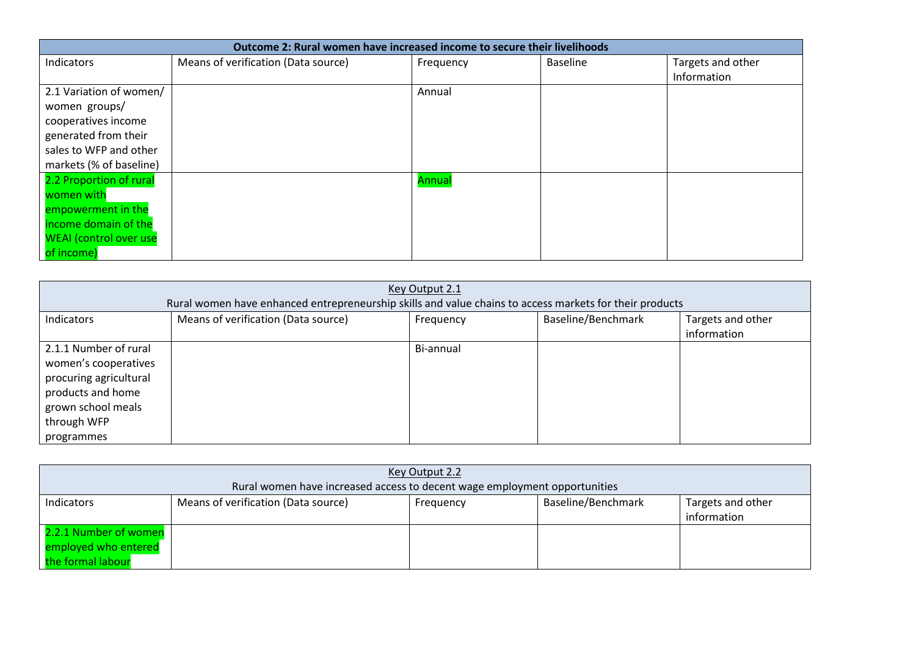| Outcome 2: Rural women have increased income to secure their livelihoods |                                     |           |                 |                   |  |  |
|--------------------------------------------------------------------------|-------------------------------------|-----------|-----------------|-------------------|--|--|
| Indicators                                                               | Means of verification (Data source) | Frequency | <b>Baseline</b> | Targets and other |  |  |
|                                                                          |                                     |           |                 | Information       |  |  |
| 2.1 Variation of women/                                                  |                                     | Annual    |                 |                   |  |  |
| women groups/                                                            |                                     |           |                 |                   |  |  |
| cooperatives income                                                      |                                     |           |                 |                   |  |  |
| generated from their                                                     |                                     |           |                 |                   |  |  |
| sales to WFP and other                                                   |                                     |           |                 |                   |  |  |
| markets (% of baseline)                                                  |                                     |           |                 |                   |  |  |
| 2.2 Proportion of rural                                                  |                                     | Annual    |                 |                   |  |  |
| women with                                                               |                                     |           |                 |                   |  |  |
| empowerment in the                                                       |                                     |           |                 |                   |  |  |
| income domain of the                                                     |                                     |           |                 |                   |  |  |
| <b>WEAI</b> (control over use                                            |                                     |           |                 |                   |  |  |
| of income)                                                               |                                     |           |                 |                   |  |  |

| Key Output 2.1<br>Rural women have enhanced entrepreneurship skills and value chains to access markets for their products                       |                                     |           |                    |                                  |  |
|-------------------------------------------------------------------------------------------------------------------------------------------------|-------------------------------------|-----------|--------------------|----------------------------------|--|
| Indicators                                                                                                                                      | Means of verification (Data source) | Frequency | Baseline/Benchmark | Targets and other<br>information |  |
| 2.1.1 Number of rural<br>women's cooperatives<br>procuring agricultural<br>products and home<br>grown school meals<br>through WFP<br>programmes |                                     | Bi-annual |                    |                                  |  |

| Key Output 2.2                                                     |                                                                           |           |                    |                                  |
|--------------------------------------------------------------------|---------------------------------------------------------------------------|-----------|--------------------|----------------------------------|
|                                                                    | Rural women have increased access to decent wage employment opportunities |           |                    |                                  |
| Indicators                                                         | Means of verification (Data source)                                       | Frequency | Baseline/Benchmark | Targets and other<br>information |
| 2.2.1 Number of women<br>employed who entered<br>the formal labour |                                                                           |           |                    |                                  |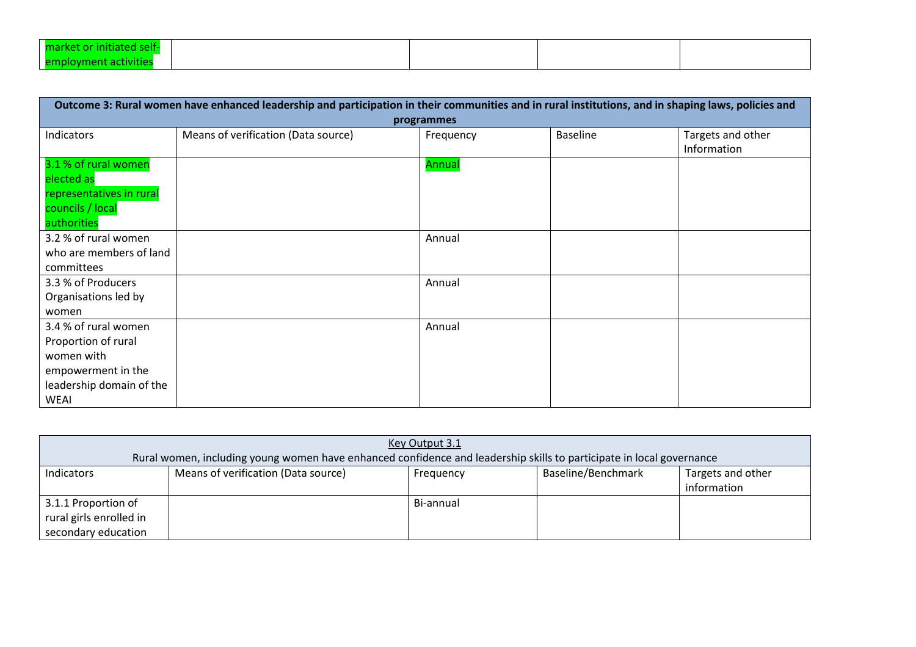| self-<br>l market or initiateo |  |  |
|--------------------------------|--|--|
| l emplovment activities        |  |  |

| Outcome 3: Rural women have enhanced leadership and participation in their communities and in rural institutions, and in shaping laws, policies and |                                     |               |                 |                                  |  |  |
|-----------------------------------------------------------------------------------------------------------------------------------------------------|-------------------------------------|---------------|-----------------|----------------------------------|--|--|
|                                                                                                                                                     | programmes                          |               |                 |                                  |  |  |
| Indicators                                                                                                                                          | Means of verification (Data source) | Frequency     | <b>Baseline</b> | Targets and other<br>Information |  |  |
| 3.1 % of rural women                                                                                                                                |                                     | <b>Annual</b> |                 |                                  |  |  |
| elected as                                                                                                                                          |                                     |               |                 |                                  |  |  |
| representatives in rural                                                                                                                            |                                     |               |                 |                                  |  |  |
| councils / local                                                                                                                                    |                                     |               |                 |                                  |  |  |
| authorities                                                                                                                                         |                                     |               |                 |                                  |  |  |
| 3.2 % of rural women                                                                                                                                |                                     | Annual        |                 |                                  |  |  |
| who are members of land                                                                                                                             |                                     |               |                 |                                  |  |  |
| committees                                                                                                                                          |                                     |               |                 |                                  |  |  |
| 3.3 % of Producers                                                                                                                                  |                                     | Annual        |                 |                                  |  |  |
| Organisations led by                                                                                                                                |                                     |               |                 |                                  |  |  |
| women                                                                                                                                               |                                     |               |                 |                                  |  |  |
| 3.4 % of rural women                                                                                                                                |                                     | Annual        |                 |                                  |  |  |
| Proportion of rural                                                                                                                                 |                                     |               |                 |                                  |  |  |
| women with                                                                                                                                          |                                     |               |                 |                                  |  |  |
| empowerment in the                                                                                                                                  |                                     |               |                 |                                  |  |  |
| leadership domain of the                                                                                                                            |                                     |               |                 |                                  |  |  |
| <b>WEAI</b>                                                                                                                                         |                                     |               |                 |                                  |  |  |

| Key Output 3.1                                                        |                                                                                                                      |           |                    |                                  |
|-----------------------------------------------------------------------|----------------------------------------------------------------------------------------------------------------------|-----------|--------------------|----------------------------------|
|                                                                       | Rural women, including young women have enhanced confidence and leadership skills to participate in local governance |           |                    |                                  |
| Indicators                                                            | Means of verification (Data source)                                                                                  | Frequency | Baseline/Benchmark | Targets and other<br>information |
| 3.1.1 Proportion of<br>rural girls enrolled in<br>secondary education |                                                                                                                      | Bi-annual |                    |                                  |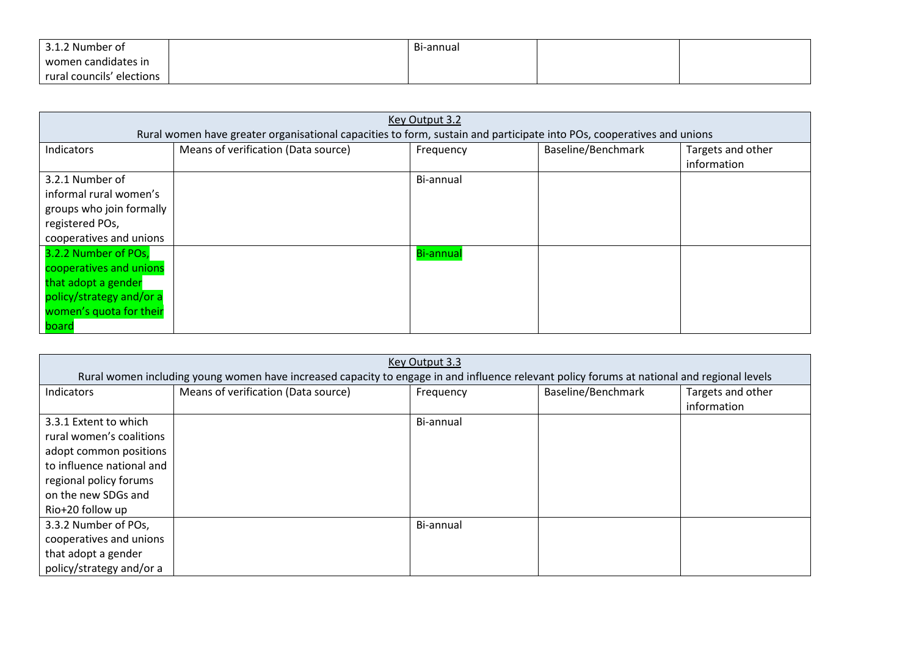| 3.1.2 Number of           | Bi-annual |  |
|---------------------------|-----------|--|
| women candidates in       |           |  |
| rural councils' elections |           |  |

| Key Output 3.2                                                                                                                         |                                                                                                                       |                  |                    |                                  |
|----------------------------------------------------------------------------------------------------------------------------------------|-----------------------------------------------------------------------------------------------------------------------|------------------|--------------------|----------------------------------|
|                                                                                                                                        | Rural women have greater organisational capacities to form, sustain and participate into POs, cooperatives and unions |                  |                    |                                  |
| Indicators                                                                                                                             | Means of verification (Data source)                                                                                   | Frequency        | Baseline/Benchmark | Targets and other<br>information |
| 3.2.1 Number of<br>informal rural women's<br>groups who join formally<br>registered POs,<br>cooperatives and unions                    |                                                                                                                       | Bi-annual        |                    |                                  |
| 3.2.2 Number of POs,<br>cooperatives and unions<br>that adopt a gender<br>policy/strategy and/or a<br>women's quota for their<br>board |                                                                                                                       | <b>Bi-annual</b> |                    |                                  |

| Key Output 3.3            |                                                                                                                                             |           |                    |                   |  |
|---------------------------|---------------------------------------------------------------------------------------------------------------------------------------------|-----------|--------------------|-------------------|--|
|                           | Rural women including young women have increased capacity to engage in and influence relevant policy forums at national and regional levels |           |                    |                   |  |
| Indicators                | Means of verification (Data source)                                                                                                         | Frequency | Baseline/Benchmark | Targets and other |  |
|                           |                                                                                                                                             |           |                    | information       |  |
| 3.3.1 Extent to which     |                                                                                                                                             | Bi-annual |                    |                   |  |
| rural women's coalitions  |                                                                                                                                             |           |                    |                   |  |
| adopt common positions    |                                                                                                                                             |           |                    |                   |  |
| to influence national and |                                                                                                                                             |           |                    |                   |  |
| regional policy forums    |                                                                                                                                             |           |                    |                   |  |
| on the new SDGs and       |                                                                                                                                             |           |                    |                   |  |
| Rio+20 follow up          |                                                                                                                                             |           |                    |                   |  |
| 3.3.2 Number of POs,      |                                                                                                                                             | Bi-annual |                    |                   |  |
| cooperatives and unions   |                                                                                                                                             |           |                    |                   |  |
| that adopt a gender       |                                                                                                                                             |           |                    |                   |  |
| policy/strategy and/or a  |                                                                                                                                             |           |                    |                   |  |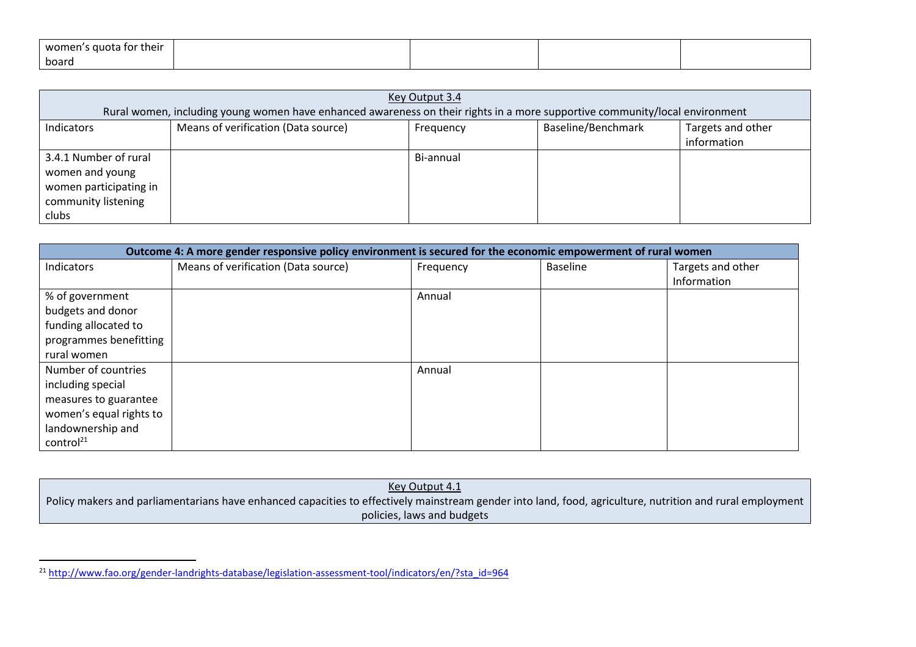| 's quota for their<br>women' |  |  |
|------------------------------|--|--|
| board                        |  |  |

| Key Output 3.4         |                                                                                                                             |           |                    |                   |
|------------------------|-----------------------------------------------------------------------------------------------------------------------------|-----------|--------------------|-------------------|
|                        | Rural women, including young women have enhanced awareness on their rights in a more supportive community/local environment |           |                    |                   |
| Indicators             | Means of verification (Data source)                                                                                         | Frequency | Baseline/Benchmark | Targets and other |
|                        |                                                                                                                             |           |                    | information       |
| 3.4.1 Number of rural  |                                                                                                                             | Bi-annual |                    |                   |
| women and young        |                                                                                                                             |           |                    |                   |
| women participating in |                                                                                                                             |           |                    |                   |
| community listening    |                                                                                                                             |           |                    |                   |
| clubs                  |                                                                                                                             |           |                    |                   |

| Outcome 4: A more gender responsive policy environment is secured for the economic empowerment of rural women |                                     |           |                 |                   |
|---------------------------------------------------------------------------------------------------------------|-------------------------------------|-----------|-----------------|-------------------|
| Indicators                                                                                                    | Means of verification (Data source) | Frequency | <b>Baseline</b> | Targets and other |
|                                                                                                               |                                     |           |                 | Information       |
| % of government                                                                                               |                                     | Annual    |                 |                   |
| budgets and donor                                                                                             |                                     |           |                 |                   |
| funding allocated to                                                                                          |                                     |           |                 |                   |
| programmes benefitting                                                                                        |                                     |           |                 |                   |
| rural women                                                                                                   |                                     |           |                 |                   |
| Number of countries                                                                                           |                                     | Annual    |                 |                   |
| including special                                                                                             |                                     |           |                 |                   |
| measures to guarantee                                                                                         |                                     |           |                 |                   |
| women's equal rights to                                                                                       |                                     |           |                 |                   |
| landownership and                                                                                             |                                     |           |                 |                   |
| control <sup>21</sup>                                                                                         |                                     |           |                 |                   |

Key Output 4.1 Policy makers and parliamentarians have enhanced capacities to effectively mainstream gender into land, food, agriculture, nutrition and rural employmentpolicies, laws and budgets

<sup>21</sup> http://www.fao.org/gender-landrights-database/legislation-assessment-tool/indicators/en/?sta\_id=964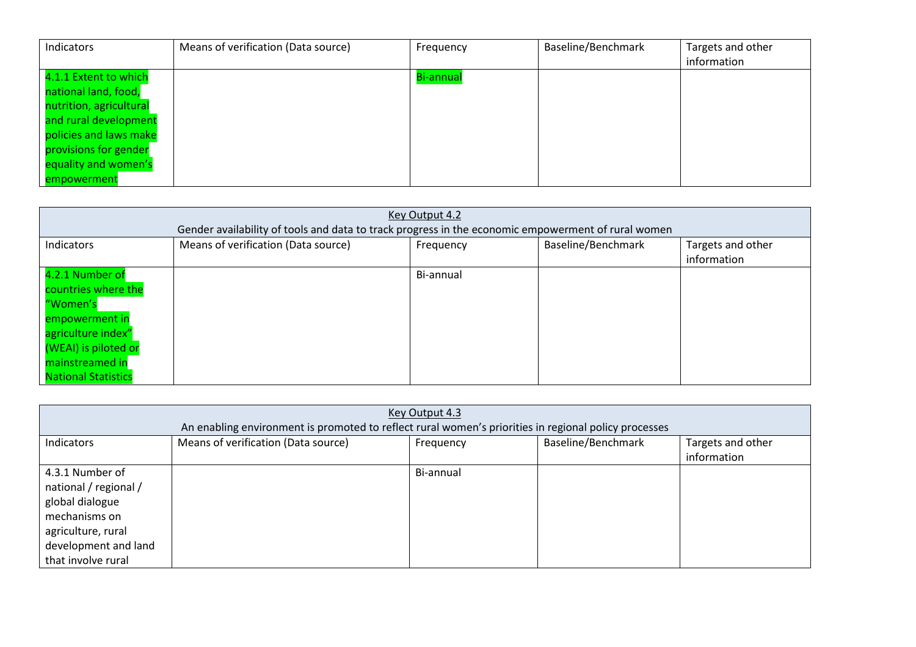| Indicators              | Means of verification (Data source) | Frequency        | Baseline/Benchmark | Targets and other |
|-------------------------|-------------------------------------|------------------|--------------------|-------------------|
|                         |                                     |                  |                    | information       |
| 4.1.1 Extent to which   |                                     | <b>Bi-annual</b> |                    |                   |
| national land, food,    |                                     |                  |                    |                   |
| nutrition, agricultural |                                     |                  |                    |                   |
| and rural development   |                                     |                  |                    |                   |
| policies and laws make  |                                     |                  |                    |                   |
| provisions for gender   |                                     |                  |                    |                   |
| equality and women's    |                                     |                  |                    |                   |
| empowerment             |                                     |                  |                    |                   |

| Key Output 4.2             |                                                                                                    |           |                    |                   |
|----------------------------|----------------------------------------------------------------------------------------------------|-----------|--------------------|-------------------|
|                            | Gender availability of tools and data to track progress in the economic empowerment of rural women |           |                    |                   |
| Indicators                 | Means of verification (Data source)                                                                | Frequency | Baseline/Benchmark | Targets and other |
|                            |                                                                                                    |           |                    | information       |
| 4.2.1 Number of            |                                                                                                    | Bi-annual |                    |                   |
| countries where the        |                                                                                                    |           |                    |                   |
| "Women's                   |                                                                                                    |           |                    |                   |
| empowerment in             |                                                                                                    |           |                    |                   |
| agriculture index"         |                                                                                                    |           |                    |                   |
| (WEAI) is piloted or       |                                                                                                    |           |                    |                   |
| mainstreamed in            |                                                                                                    |           |                    |                   |
| <b>National Statistics</b> |                                                                                                    |           |                    |                   |

| Key Output 4.3<br>An enabling environment is promoted to reflect rural women's priorities in regional policy processes                           |                                     |           |                    |                                  |  |  |  |
|--------------------------------------------------------------------------------------------------------------------------------------------------|-------------------------------------|-----------|--------------------|----------------------------------|--|--|--|
| Indicators                                                                                                                                       | Means of verification (Data source) | Frequency | Baseline/Benchmark | Targets and other<br>information |  |  |  |
| 4.3.1 Number of<br>national / regional /<br>global dialogue<br>mechanisms on<br>agriculture, rural<br>development and land<br>that involve rural |                                     | Bi-annual |                    |                                  |  |  |  |